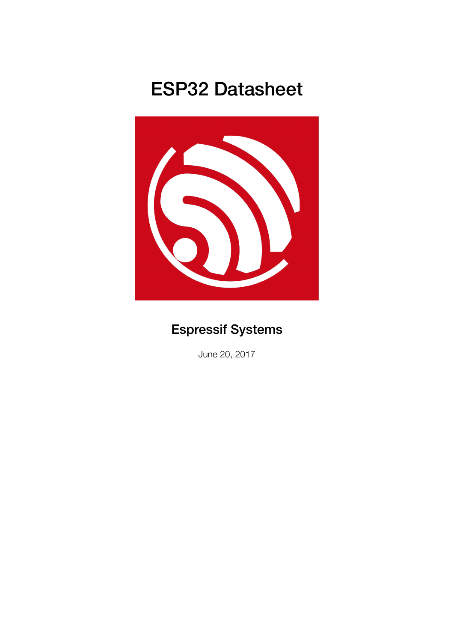# ESP32 Datasheet



# Espressif Systems

June 20, 2017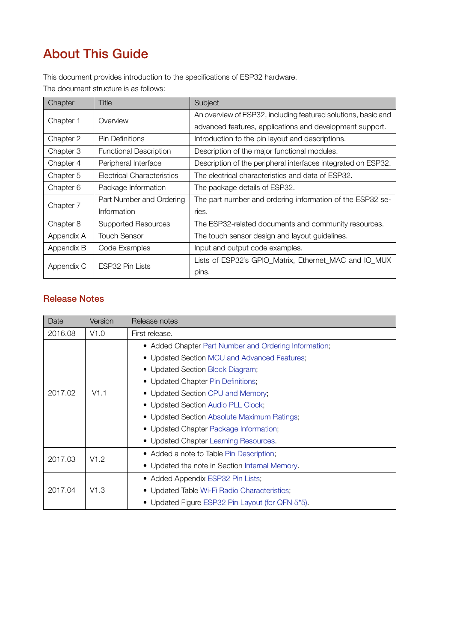# About This Guide

This document provides introduction to the specifications of ESP32 hardware.

The document structure is as follows:

| Chapter    | Title                         | Subject                                                       |
|------------|-------------------------------|---------------------------------------------------------------|
|            | Overview                      | An overview of ESP32, including featured solutions, basic and |
| Chapter 1  |                               | advanced features, applications and development support.      |
| Chapter 2  | <b>Pin Definitions</b>        | Introduction to the pin layout and descriptions.              |
| Chapter 3  | <b>Functional Description</b> | Description of the major functional modules.                  |
| Chapter 4  | Peripheral Interface          | Description of the peripheral interfaces integrated on ESP32. |
| Chapter 5  | Electrical Characteristics    | The electrical characteristics and data of ESP32.             |
| Chapter 6  | Package Information           | The package details of ESP32.                                 |
| Chapter 7  | Part Number and Ordering      | The part number and ordering information of the ESP32 se-     |
|            | Information                   | ries.                                                         |
| Chapter 8  | <b>Supported Resources</b>    | The ESP32-related documents and community resources.          |
| Appendix A | Touch Sensor                  | The touch sensor design and layout guidelines.                |
| Appendix B | Code Examples                 | Input and output code examples.                               |
|            | ESP32 Pin Lists               | Lists of ESP32's GPIO_Matrix, Ethernet_MAC and IO_MUX         |
| Appendix C |                               | pins.                                                         |

### Release Notes

| Date                                     | Version | Release notes                                         |  |
|------------------------------------------|---------|-------------------------------------------------------|--|
| 2016.08                                  | V1.0    | First release.                                        |  |
|                                          |         | • Added Chapter Part Number and Ordering Information; |  |
|                                          |         | • Updated Section MCU and Advanced Features;          |  |
|                                          |         | • Updated Section Block Diagram;                      |  |
|                                          |         | • Updated Chapter Pin Definitions;                    |  |
| 2017.02                                  | V1.1    | • Updated Section CPU and Memory;                     |  |
|                                          |         | • Updated Section Audio PLL Clock;                    |  |
|                                          |         | • Updated Section Absolute Maximum Ratings;           |  |
|                                          |         | • Updated Chapter Package Information;                |  |
|                                          |         | • Updated Chapter Learning Resources.                 |  |
| • Added a note to Table Pin Description; |         |                                                       |  |
| 2017.03                                  | V1.2    | • Updated the note in Section Internal Memory.        |  |
|                                          |         | • Added Appendix ESP32 Pin Lists;                     |  |
| 2017.04                                  | V1.3    | • Updated Table Wi-Fi Radio Characteristics;          |  |
|                                          |         | • Updated Figure ESP32 Pin Layout (for QFN 5*5).      |  |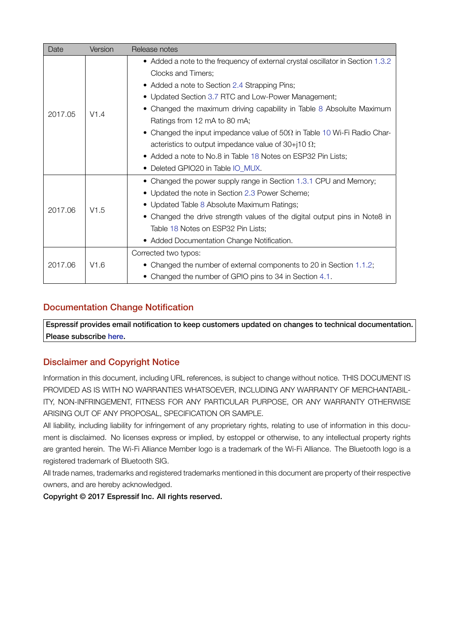| Date    | Version | Release notes                                                                                                                                                                                                                                                                                                                                                                                                                                                                                                                            |  |
|---------|---------|------------------------------------------------------------------------------------------------------------------------------------------------------------------------------------------------------------------------------------------------------------------------------------------------------------------------------------------------------------------------------------------------------------------------------------------------------------------------------------------------------------------------------------------|--|
| 2017.05 | V1.4    | • Added a note to the frequency of external crystal oscillator in Section 1.3.2<br>Clocks and Timers;<br>• Added a note to Section 2.4 Strapping Pins;<br>• Updated Section 3.7 RTC and Low-Power Management;<br>• Changed the maximum driving capability in Table 8 Absolulte Maximum<br>Ratings from 12 mA to 80 mA;<br>• Changed the input impedance value of 50 $\Omega$ in Table 10 Wi-Fi Radio Char-<br>acteristics to output impedance value of 30+j10 $\Omega$ ;<br>• Added a note to No.8 in Table 18 Notes on ESP32 Pin Lists; |  |
| 2017.06 | V1.5    | • Deleted GPIO20 in Table IO_MUX.<br>• Changed the power supply range in Section 1.3.1 CPU and Memory;<br>• Updated the note in Section 2.3 Power Scheme;<br>• Updated Table 8 Absolute Maximum Ratings;<br>• Changed the drive strength values of the digital output pins in Note8 in<br>Table 18 Notes on ESP32 Pin Lists;<br>• Added Documentation Change Notification.                                                                                                                                                               |  |
| 2017.06 | V1.6    | Corrected two typos:<br>• Changed the number of external components to 20 in Section 1.1.2;<br>• Changed the number of GPIO pins to 34 in Section 4.1.                                                                                                                                                                                                                                                                                                                                                                                   |  |

### Documentation Change Notification

Espressif provides email notification to keep customers updated on changes to technical documentation. Please subscribe here.

### Disclaimer and Copyright Notice

Information in this d[ocum](http://espressif.com/en/subscribe)ent, including URL references, is subject to change without notice. THIS DOCUMENT IS PROVIDED AS IS WITH NO WARRANTIES WHATSOEVER, INCLUDING ANY WARRANTY OF MERCHANTABIL-ITY, NON-INFRINGEMENT, FITNESS FOR ANY PARTICULAR PURPOSE, OR ANY WARRANTY OTHERWISE ARISING OUT OF ANY PROPOSAL, SPECIFICATION OR SAMPLE.

All liability, including liability for infringement of any proprietary rights, relating to use of information in this document is disclaimed. No licenses express or implied, by estoppel or otherwise, to any intellectual property rights are granted herein. The Wi-Fi Alliance Member logo is a trademark of the Wi-Fi Alliance. The Bluetooth logo is a registered trademark of Bluetooth SIG.

All trade names, trademarks and registered trademarks mentioned in this document are property of their respective owners, and are hereby acknowledged.

Copyright © 2017 Espressif Inc. All rights reserved.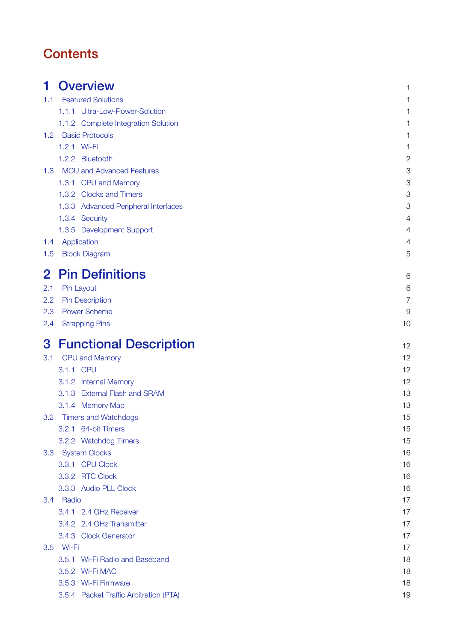# **Contents**

| 1                | <b>Overview</b>                        | 1              |
|------------------|----------------------------------------|----------------|
| 1.1              | <b>Featured Solutions</b>              | 1              |
|                  | 1.1.1 Ultra-Low-Power-Solution         | 1              |
|                  | 1.1.2 Complete Integration Solution    | 1              |
| 1.2 <sub>1</sub> | <b>Basic Protocols</b>                 | 1              |
|                  | 1.2.1 Wi-Fi                            | 1              |
|                  | 1.2.2 Bluetooth                        | $\overline{c}$ |
| 1.3              | <b>MCU and Advanced Features</b>       | 3              |
|                  | 1.3.1 CPU and Memory                   | 3              |
|                  | 1.3.2 Clocks and Timers                | 3              |
|                  | 1.3.3 Advanced Peripheral Interfaces   | 3              |
|                  | 1.3.4 Security                         | $\overline{4}$ |
|                  | 1.3.5 Development Support              | 4              |
| 1.4              | Application                            | 4              |
| 1.5              | <b>Block Diagram</b>                   | 5              |
| $\mathbf{2}$     | <b>Pin Definitions</b>                 | 6              |
| 2.1              | Pin Layout                             | 6              |
| 2.2              | <b>Pin Description</b>                 | $\overline{7}$ |
| 2.3              | <b>Power Scheme</b>                    | 9              |
| 2.4              | <b>Strapping Pins</b>                  | 10             |
|                  |                                        |                |
| 3                | <b>Functional Description</b>          | 12             |
| 3.1              | <b>CPU and Memory</b>                  | 12             |
|                  | 3.1.1 CPU                              | 12             |
|                  | 3.1.2 Internal Memory                  | 12             |
|                  | 3.1.3 External Flash and SRAM          | 13             |
|                  | 3.1.4 Memory Map                       | 13             |
| 3.2              | <b>Timers and Watchdogs</b>            | 15             |
|                  | 3.2.1 64-bit Timers                    | 15             |
|                  | 3.2.2 Watchdog Timers                  | 15             |
|                  | 3.3 System Clocks                      | 16             |
|                  | 3.3.1 CPU Clock                        | 16             |
|                  | 3.3.2 RTC Clock                        | 16             |
|                  | 3.3.3 Audio PLL Clock                  | 16             |
|                  | 3.4 Radio                              | 17             |
|                  | 3.4.1 2.4 GHz Receiver                 | 17             |
|                  | 3.4.2 2.4 GHz Transmitter              | 17             |
|                  | 3.4.3 Clock Generator                  | 17             |
|                  | 3.5 Wi-Fi                              | 17             |
|                  | 3.5.1 Wi-Fi Radio and Baseband         | 18             |
|                  | 3.5.2 Wi-Fi MAC                        | 18             |
|                  | 3.5.3 Wi-Fi Firmware                   | 18             |
|                  | 3.5.4 Packet Traffic Arbitration (PTA) | 19             |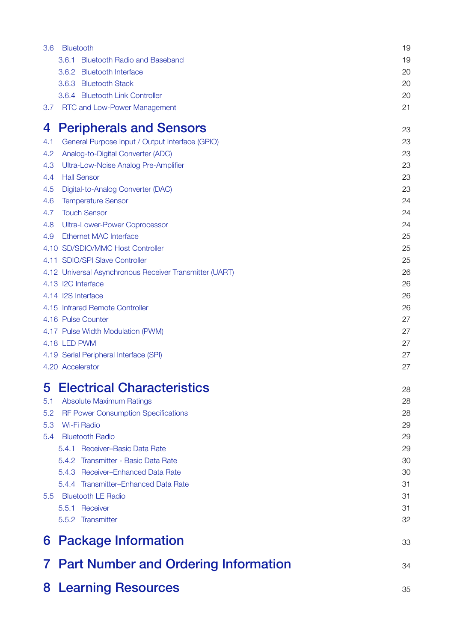| 3.6 | <b>Bluetooth</b>                                        | 19 |
|-----|---------------------------------------------------------|----|
|     | 3.6.1<br><b>Bluetooth Radio and Baseband</b>            | 19 |
|     | 3.6.2 Bluetooth Interface                               | 20 |
|     | 3.6.3 Bluetooth Stack                                   | 20 |
|     | 3.6.4 Bluetooth Link Controller                         | 20 |
| 3.7 | <b>RTC and Low-Power Management</b>                     | 21 |
| 4   | <b>Peripherals and Sensors</b>                          | 23 |
| 4.1 | General Purpose Input / Output Interface (GPIO)         | 23 |
| 4.2 | Analog-to-Digital Converter (ADC)                       | 23 |
| 4.3 | Ultra-Low-Noise Analog Pre-Amplifier                    | 23 |
| 4.4 | <b>Hall Sensor</b>                                      | 23 |
| 4.5 | Digital-to-Analog Converter (DAC)                       | 23 |
| 4.6 | <b>Temperature Sensor</b>                               | 24 |
| 4.7 | <b>Touch Sensor</b>                                     | 24 |
| 4.8 | <b>Ultra-Lower-Power Coprocessor</b>                    | 24 |
| 4.9 | <b>Ethernet MAC Interface</b>                           | 25 |
|     | 4.10 SD/SDIO/MMC Host Controller                        | 25 |
|     | 4.11 SDIO/SPI Slave Controller                          | 25 |
|     | 4.12 Universal Asynchronous Receiver Transmitter (UART) | 26 |
|     | 4.13 I2C Interface                                      | 26 |
|     | 4.14 I2S Interface                                      | 26 |
|     | 4.15 Infrared Remote Controller                         | 26 |
|     | 4.16 Pulse Counter                                      | 27 |
|     | 4.17 Pulse Width Modulation (PWM)                       | 27 |
|     | 4.18 LED PWM                                            | 27 |
|     | 4.19 Serial Peripheral Interface (SPI)                  | 27 |
|     | 4.20 Accelerator                                        | 27 |
| 5   | <b>Electrical Characteristics</b>                       | 28 |
| 5.1 | <b>Absolute Maximum Ratings</b>                         | 28 |
| 5.2 | <b>RF Power Consumption Specifications</b>              | 28 |
| 5.3 | <b>Wi-Fi Radio</b>                                      | 29 |
| 5.4 | <b>Bluetooth Radio</b>                                  | 29 |
|     | 5.4.1 Receiver-Basic Data Rate                          | 29 |
|     | 5.4.2 Transmitter - Basic Data Rate                     | 30 |
|     | 5.4.3 Receiver-Enhanced Data Rate                       | 30 |
|     | 5.4.4 Transmitter-Enhanced Data Rate                    | 31 |
|     | 5.5 Bluetooth LE Radio                                  | 31 |
|     | 5.5.1 Receiver                                          | 31 |
|     | 5.5.2 Transmitter                                       | 32 |
|     | 6 Package Information                                   | 33 |
|     | 7 Part Number and Ordering Information                  | 34 |
|     | <b>8 Learning Resources</b>                             | 35 |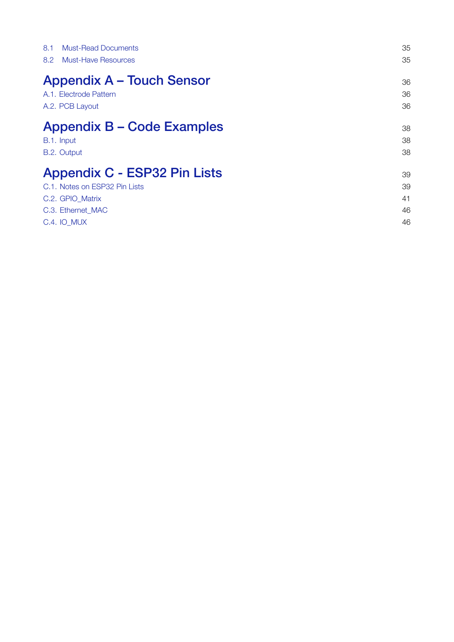| <b>Must-Read Documents</b><br>8.1   | 35 |
|-------------------------------------|----|
| <b>Must-Have Resources</b><br>8.2   | 35 |
| <b>Appendix A – Touch Sensor</b>    | 36 |
| A.1. Electrode Pattern              | 36 |
| A.2. PCB Layout                     | 36 |
| <b>Appendix B – Code Examples</b>   | 38 |
| B.1. Input                          | 38 |
| B.2. Output                         | 38 |
| <b>Appendix C - ESP32 Pin Lists</b> | 39 |
| C.1. Notes on ESP32 Pin Lists       | 39 |
| C.2. GPIO_Matrix                    | 41 |
| C.3. Ethernet MAC                   | 46 |
| <b>C.4. IO MUX</b>                  | 46 |
|                                     |    |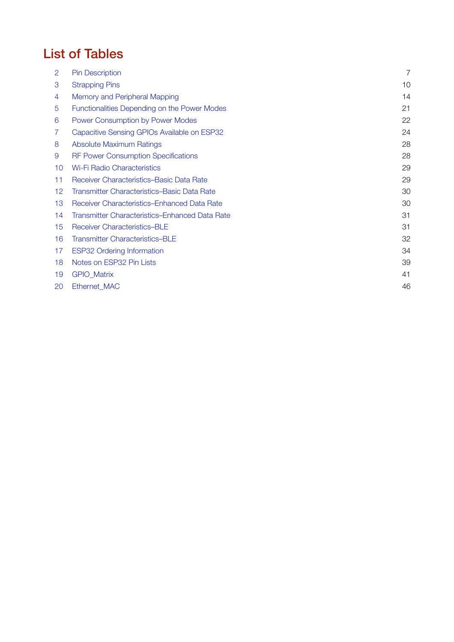# List of Tables

| 2  | <b>Pin Description</b>                         | $\overline{7}$ |
|----|------------------------------------------------|----------------|
| 3  | <b>Strapping Pins</b>                          | 10             |
| 4  | Memory and Peripheral Mapping                  | 14             |
| 5  | Functionalities Depending on the Power Modes   | 21             |
| 6  | Power Consumption by Power Modes               | 22             |
| 7  | Capacitive Sensing GPIOs Available on ESP32    | 24             |
| 8  | <b>Absolute Maximum Ratings</b>                | 28             |
| 9  | <b>RF Power Consumption Specifications</b>     | 28             |
| 10 | <b>Wi-Fi Radio Characteristics</b>             | 29             |
| 11 | Receiver Characteristics–Basic Data Rate       | 29             |
| 12 | Transmitter Characteristics-Basic Data Rate    | 30             |
| 13 | Receiver Characteristics-Enhanced Data Rate    | 30             |
| 14 | Transmitter Characteristics–Enhanced Data Rate | 31             |
| 15 | <b>Receiver Characteristics-BLE</b>            | 31             |
| 16 | <b>Transmitter Characteristics-BLE</b>         | 32             |
| 17 | <b>ESP32 Ordering Information</b>              | 34             |
| 18 | Notes on ESP32 Pin Lists                       | 39             |
| 19 | <b>GPIO_Matrix</b>                             | 41             |
| 20 | Ethernet MAC                                   | 46             |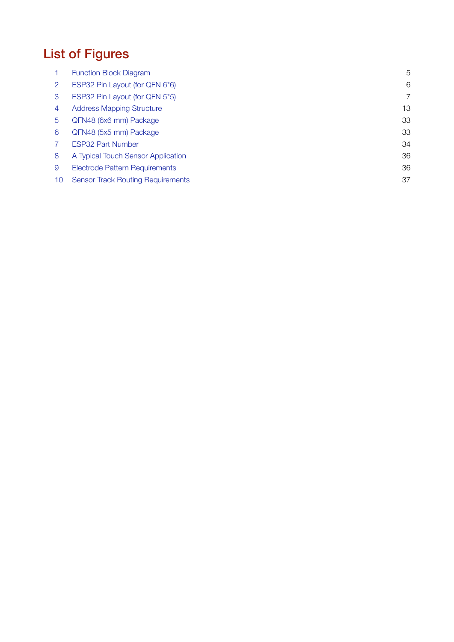# List of Figures

|    | <b>Function Block Diagram</b>            | 5  |
|----|------------------------------------------|----|
| 2  | ESP32 Pin Layout (for QFN 6*6)           | 6  |
| 3  | ESP32 Pin Layout (for QFN 5*5)           | 7  |
| 4  | <b>Address Mapping Structure</b>         | 13 |
| 5  | QFN48 (6x6 mm) Package                   | 33 |
| 6  | QFN48 (5x5 mm) Package                   | 33 |
|    | <b>ESP32 Part Number</b>                 | 34 |
| 8  | A Typical Touch Sensor Application       | 36 |
| 9  | <b>Electrode Pattern Requirements</b>    | 36 |
| 10 | <b>Sensor Track Routing Requirements</b> | 37 |
|    |                                          |    |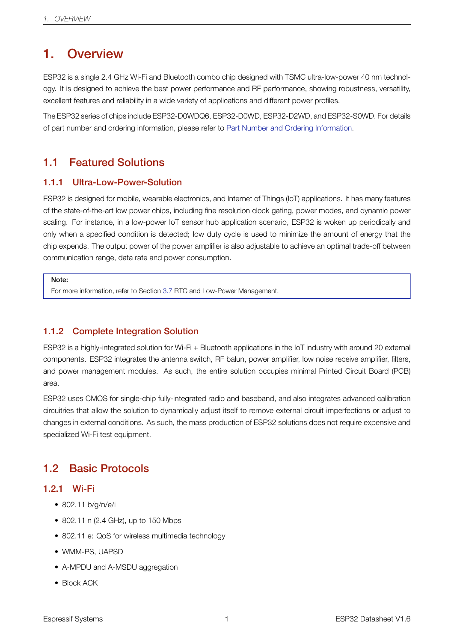# 1. Overview

<span id="page-8-0"></span>ESP32 is a single 2.4 GHz Wi-Fi and Bluetooth combo chip designed with TSMC ultra-low-power 40 nm technology. It is designed to achieve the best power performance and RF performance, showing robustness, versatility, excellent features and reliability in a wide variety of applications and different power profiles.

The ESP32 series of chips include ESP32-D0WDQ6, ESP32-D0WD, ESP32-D2WD, and ESP32-S0WD. For details of part number and ordering information, please refer to Part Number and Ordering Information.

### 1.1 Featured Solutions

#### <span id="page-8-1"></span>1.1.1 Ultra-Low-Power-Solution

<span id="page-8-2"></span>ESP32 is designed for mobile, wearable electronics, and Internet of Things (IoT) applications. It has many features of the state-of-the-art low power chips, including fine resolution clock gating, power modes, and dynamic power scaling. For instance, in a low-power IoT sensor hub application scenario, ESP32 is woken up periodically and only when a specified condition is detected; low duty cycle is used to minimize the amount of energy that the chip expends. The output power of the power amplifier is also adjustable to achieve an optimal trade-off between communication range, data rate and power consumption.

#### Note:

For more information, refer to Section 3.7 RTC and Low-Power Management.

#### 1.1.2 Complete Integration [So](#page-28-0)lution

<span id="page-8-3"></span>ESP32 is a highly-integrated solution for Wi-Fi + Bluetooth applications in the IoT industry with around 20 external components. ESP32 integrates the antenna switch, RF balun, power amplifier, low noise receive amplifier, filters, and power management modules. As such, the entire solution occupies minimal Printed Circuit Board (PCB) area.

ESP32 uses CMOS for single-chip fully-integrated radio and baseband, and also integrates advanced calibration circuitries that allow the solution to dynamically adjust itself to remove external circuit imperfections or adjust to changes in external conditions. As such, the mass production of ESP32 solutions does not require expensive and specialized Wi-Fi test equipment.

### 1.2 Basic Protocols

#### <span id="page-8-4"></span>1.2.1 Wi-Fi

- 802.11 b/g/n/e/i
- <span id="page-8-5"></span>• 802.11 n (2.4 GHz), up to 150 Mbps
- 802.11 e: QoS for wireless multimedia technology
- WMM-PS, UAPSD
- A-MPDU and A-MSDU aggregation
- Block ACK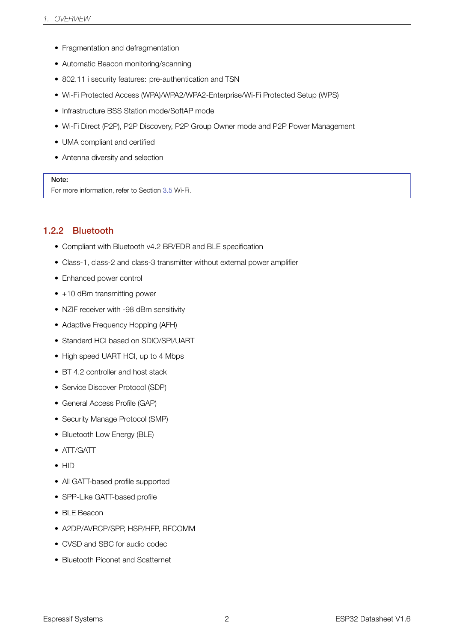- Fragmentation and defragmentation
- Automatic Beacon monitoring/scanning
- 802.11 i security features: pre-authentication and TSN
- Wi-Fi Protected Access (WPA)/WPA2/WPA2-Enterprise/Wi-Fi Protected Setup (WPS)
- Infrastructure BSS Station mode/SoftAP mode
- Wi-Fi Direct (P2P), P2P Discovery, P2P Group Owner mode and P2P Power Management
- UMA compliant and certified
- Antenna diversity and selection

For more information, refer to Section 3.5 Wi-Fi.

#### 1.2.2 Bluetooth

- Compliant with Bluetooth v4.2 BR/EDR and BLE specification
- <span id="page-9-1"></span>• Class-1, class-2 and class-3 transmitter without external power amplifier
- Enhanced power control
- +10 dBm transmitting power
- NZIF receiver with -98 dBm sensitivity
- Adaptive Frequency Hopping (AFH)
- Standard HCI based on SDIO/SPI/UART
- High speed UART HCI, up to 4 Mbps
- BT 4.2 controller and host stack
- Service Discover Protocol (SDP)
- General Access Profile (GAP)
- Security Manage Protocol (SMP)
- Bluetooth Low Energy (BLE)
- ATT/GATT
- HID
- All GATT-based profile supported
- SPP-Like GATT-based profile
- BLE Beacon
- A2DP/AVRCP/SPP, HSP/HFP, RFCOMM
- CVSD and SBC for audio codec
- <span id="page-9-0"></span>• Bluetooth Piconet and Scatternet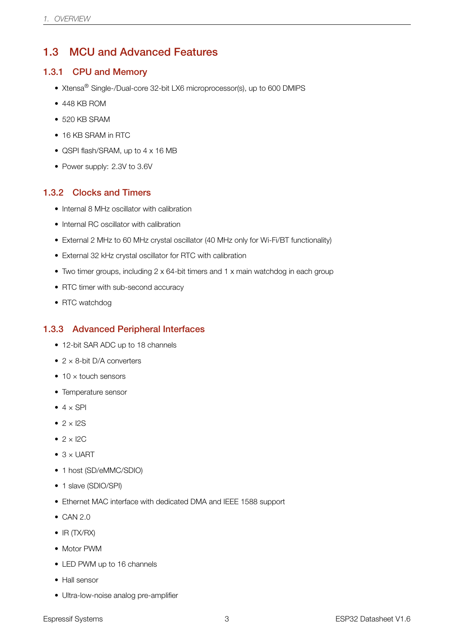### 1.3 MCU and Advanced Features

#### <span id="page-10-0"></span>1.3.1 CPU and Memory

- Xtensa<sup>®</sup> Single-/Dual-core 32-bit LX6 microprocessor(s), up to 600 DMIPS
- 448 KB ROM
- 520 KB SRAM
- 16 KB SRAM in RTC
- QSPI flash/SRAM, up to 4 x 16 MB
- Power supply: 2.3V to 3.6V

#### <span id="page-10-1"></span>1.3.2 Clocks and Timers

- Internal 8 MHz oscillator with calibration
- Internal RC oscillator with calibration
- External 2 MHz to 60 MHz crystal oscillator (40 MHz only for Wi-Fi/BT functionality)
- External 32 kHz crystal oscillator for RTC with calibration
- Two timer groups, including 2 x 64-bit timers and 1 x main watchdog in each group
- RTC timer with sub-second accuracy
- RTC watchdog

#### <span id="page-10-2"></span>1.3.3 Advanced Peripheral Interfaces

- 12-bit SAR ADC up to 18 channels
- $2 \times 8$ -bit D/A converters
- $\bullet$  10  $\times$  touch sensors
- Temperature sensor
- $\bullet$  4  $\times$  SPI
- $\bullet$  2  $\times$  12S
- $\bullet$  2 × I2C
- $\bullet$  3  $\times$  UART
- 1 host (SD/eMMC/SDIO)
- 1 slave (SDIO/SPI)
- Ethernet MAC interface with dedicated DMA and IEEE 1588 support
- CAN 2.0
- IR (TX/RX)
- Motor PWM
- LED PWM up to 16 channels
- Hall sensor
- Ultra-low-noise analog pre-amplifier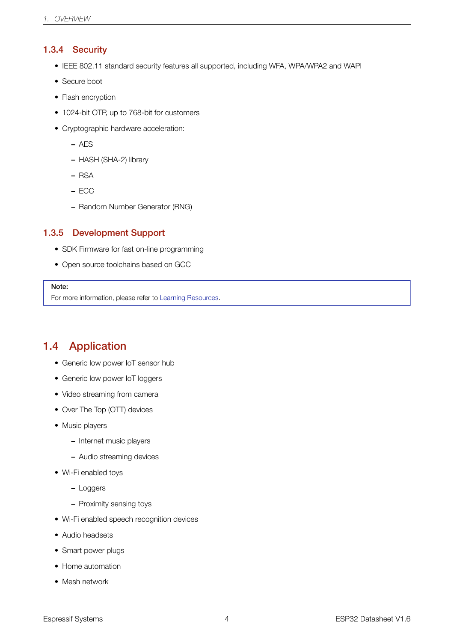#### 1.3.4 Security

- IEEE 802.11 standard security features all supported, including WFA, WPA/WPA2 and WAPI
- <span id="page-11-0"></span>• Secure boot
- Flash encryption
- 1024-bit OTP, up to 768-bit for customers
- Cryptographic hardware acceleration:
	- AES
	- HASH (SHA-2) library
	- RSA
	- ECC
	- Random Number Generator (RNG)

#### 1.3.5 Development Support

- SDK Firmware for fast on-line programming
- <span id="page-11-1"></span>• Open source toolchains based on GCC

#### Note:

For more information, please refer to Learning Resources.

### 1.4 Application

- <span id="page-11-2"></span>• Generic low power IoT sensor hub
- Generic low power IoT loggers
- Video streaming from camera
- Over The Top (OTT) devices
- Music players
	- Internet music players
	- Audio streaming devices
- Wi-Fi enabled toys
	- Loggers
	- Proximity sensing toys
- Wi-Fi enabled speech recognition devices
- Audio headsets
- Smart power plugs
- Home automation
- Mesh network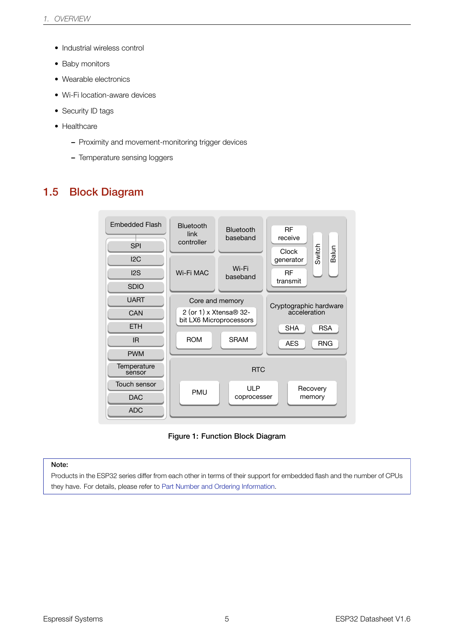- Industrial wireless control
- Baby monitors
- Wearable electronics
- Wi-Fi location-aware devices
- Security ID tags
- Healthcare
	- Proximity and movement-monitoring trigger devices
	- Temperature sensing loggers

### <span id="page-12-1"></span><span id="page-12-0"></span>1.5 Block Diagram



Figure 1: Function Block Diagram

#### Note:

Products in the ESP32 series differ from each other in terms of their support for embedded flash and the number of CPUs they have. For details, please refer to Part Number and Ordering Information.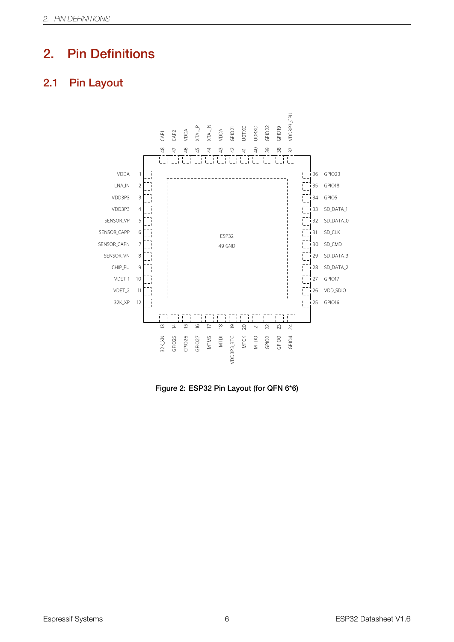# <span id="page-13-0"></span>2. Pin Definitions

### <span id="page-13-2"></span><span id="page-13-1"></span>2.1 Pin Layout



Figure 2: ESP32 Pin Layout (for QFN 6\*6)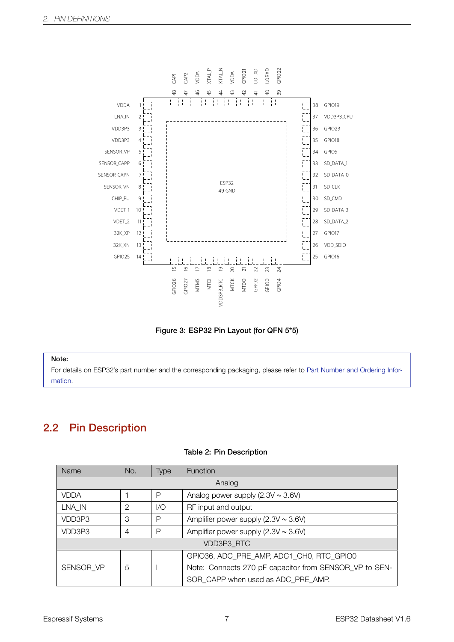<span id="page-14-2"></span>

Figure 3: ESP32 Pin Layout (for QFN 5\*5)

For details on ESP32's part number and the corresponding packaging, please refer to Part Number and Ordering Information.

### 2.2 Pin Description

#### Table 2: Pin Description

<span id="page-14-1"></span><span id="page-14-0"></span>

| Name        | No. | <b>Type</b> | <b>Function</b>                                        |  |
|-------------|-----|-------------|--------------------------------------------------------|--|
| Analog      |     |             |                                                        |  |
| <b>VDDA</b> |     | Р           | Analog power supply $(2.3V \sim 3.6V)$                 |  |
| LNA IN      | 2   | 1/O         | RF input and output                                    |  |
| VDD3P3      | З   | Р           | Amplifier power supply $(2.3V \sim 3.6V)$              |  |
| VDD3P3      | 4   | Р           | Amplifier power supply $(2.3V \sim 3.6V)$              |  |
| VDD3P3 RTC  |     |             |                                                        |  |
|             |     |             | GPIO36, ADC PRE AMP, ADC1 CH0, RTC GPIO0               |  |
| SENSOR VP   | 5   |             | Note: Connects 270 pF capacitor from SENSOR_VP to SEN- |  |
|             |     |             | SOR CAPP when used as ADC PRE AMP.                     |  |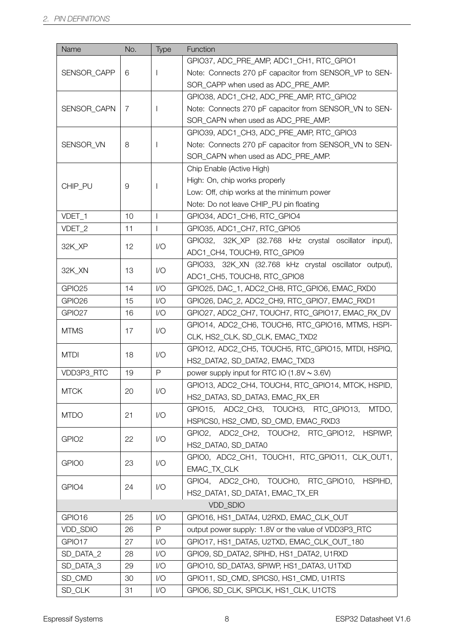| GPIO37, ADC_PRE_AMP, ADC1_CH1, RTC_GPIO1<br><b>SENSOR CAPP</b><br>Note: Connects 270 pF capacitor from SENSOR_VP to SEN-<br>6<br>SOR_CAPP when used as ADC_PRE_AMP. |
|---------------------------------------------------------------------------------------------------------------------------------------------------------------------|
|                                                                                                                                                                     |
|                                                                                                                                                                     |
|                                                                                                                                                                     |
| GPIO38, ADC1_CH2, ADC_PRE_AMP, RTC_GPIO2                                                                                                                            |
| SENSOR_CAPN<br>Note: Connects 270 pF capacitor from SENSOR_VN to SEN-<br>7                                                                                          |
| SOR_CAPN when used as ADC_PRE_AMP.                                                                                                                                  |
| GPIO39, ADC1_CH3, ADC_PRE_AMP, RTC_GPIO3                                                                                                                            |
| SENSOR_VN<br>8<br>Note: Connects 270 pF capacitor from SENSOR_VN to SEN-                                                                                            |
| SOR_CAPN when used as ADC_PRE_AMP.                                                                                                                                  |
| Chip Enable (Active High)                                                                                                                                           |
| High: On, chip works properly                                                                                                                                       |
| CHIP_PU<br>$\Theta$<br>Low: Off, chip works at the minimum power                                                                                                    |
| Note: Do not leave CHIP_PU pin floating                                                                                                                             |
| VDET_1<br>10<br>$\mathbf{I}$<br>GPIO34, ADC1_CH6, RTC_GPIO4                                                                                                         |
| VDET_2<br>11<br>$\mathbf{I}$<br>GPIO35, ADC1 CH7, RTC GPIO5                                                                                                         |
| GPIO32, 32K_XP (32.768 kHz crystal oscillator<br>input),                                                                                                            |
| 1/O<br>32K_XP<br>12<br>ADC1_CH4, TOUCH9, RTC_GPIO9                                                                                                                  |
| GPIO33, 32K_XN (32.768 kHz crystal oscillator output),                                                                                                              |
| 13<br>1/O<br>32K_XN<br>ADC1_CH5, TOUCH8, RTC_GPIO8                                                                                                                  |
| GPIO25<br>14<br>1/O<br>GPIO25, DAC_1, ADC2_CH8, RTC_GPIO6, EMAC_RXD0                                                                                                |
| GPIO <sub>26</sub><br>15<br>1/O<br>GPIO26, DAC_2, ADC2_CH9, RTC_GPIO7, EMAC_RXD1                                                                                    |
| GPIO27<br>16<br>1/O<br>GPIO27, ADC2_CH7, TOUCH7, RTC_GPIO17, EMAC_RX_DV                                                                                             |
| GPIO14, ADC2_CH6, TOUCH6, RTC_GPIO16, MTMS, HSPI-                                                                                                                   |
| 1/O<br><b>MTMS</b><br>17<br>CLK, HS2_CLK, SD_CLK, EMAC_TXD2                                                                                                         |
| GPIO12, ADC2 CH5, TOUCH5, RTC GPIO15, MTDI, HSPIQ,                                                                                                                  |
| <b>MTDI</b><br>18<br>1/O<br>HS2_DATA2, SD_DATA2, EMAC_TXD3                                                                                                          |
| $\mathsf{P}$<br>VDD3P3_RTC<br>19<br>power supply input for RTC IO $(1.8V \sim 3.6V)$                                                                                |
| GPIO13, ADC2_CH4, TOUCH4, RTC_GPIO14, MTCK, HSPID,                                                                                                                  |
| $\mathsf{I}/\mathsf{O}$<br><b>MTCK</b><br>20<br>HS2_DATA3, SD_DATA3, EMAC_RX_ER                                                                                     |
| GPIO15, ADC2 CH3, TOUCH3, RTC GPIO13,<br>MTDO,                                                                                                                      |
| 1/O<br>21<br><b>MTDO</b><br>HSPICS0, HS2_CMD, SD_CMD, EMAC_RXD3                                                                                                     |
| GPIO2, ADC2_CH2, TOUCH2, RTC_GPIO12,<br><b>HSPIWP,</b>                                                                                                              |
| 1/O<br>GPIO <sub>2</sub><br>22<br>HS2_DATA0, SD_DATA0                                                                                                               |
| GPIO0, ADC2_CH1, TOUCH1, RTC_GPIO11, CLK_OUT1,                                                                                                                      |
| 1/O<br>GPIO0<br>23<br>EMAC TX CLK                                                                                                                                   |
| GPIO4, ADC2_CH0, TOUCH0, RTC_GPIO10, HSPIHD,                                                                                                                        |
| 1/O<br>GPIO4<br>24<br>HS2_DATA1, SD_DATA1, EMAC_TX_ER                                                                                                               |
| VDD_SDIO                                                                                                                                                            |
| GPIO16<br>25<br>1/O<br>GPIO16, HS1_DATA4, U2RXD, EMAC_CLK_OUT                                                                                                       |
| VDD_SDIO<br>26<br>output power supply: 1.8V or the value of VDD3P3_RTC<br>P                                                                                         |
| GPIO17, HS1_DATA5, U2TXD, EMAC_CLK_OUT_180<br>GPIO17<br>27<br>1/O                                                                                                   |
| SD_DATA_2<br>GPIO9, SD_DATA2, SPIHD, HS1_DATA2, U1RXD<br>28<br>1/O                                                                                                  |
| SD_DATA_3<br>29<br>1/O<br>GPIO10, SD_DATA3, SPIWP, HS1_DATA3, U1TXD                                                                                                 |
| SD_CMD<br>30<br>1/O<br>GPIO11, SD_CMD, SPICS0, HS1_CMD, U1RTS                                                                                                       |
| SD_CLK<br>$\mathsf{I}/\mathsf{O}$<br>GPIO6, SD_CLK, SPICLK, HS1_CLK, U1CTS<br>31                                                                                    |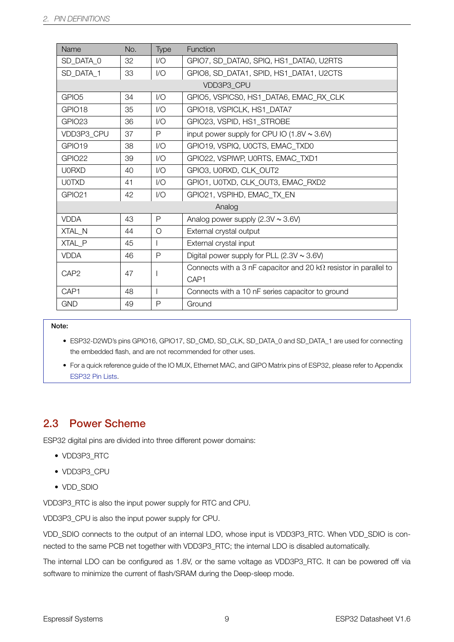| Name               | No. | <b>Type</b> | Function                                                                |  |
|--------------------|-----|-------------|-------------------------------------------------------------------------|--|
| SD DATA 0          | 32  | 1/O         | GPIO7, SD DATA0, SPIQ, HS1 DATA0, U2RTS                                 |  |
| SD DATA 1          | 33  | 1/O         | GPIO8, SD_DATA1, SPID, HS1_DATA1, U2CTS                                 |  |
|                    |     |             | VDD3P3 CPU                                                              |  |
| GPIO <sub>5</sub>  | 34  | 1/O         | GPIO5, VSPICS0, HS1_DATA6, EMAC_RX_CLK                                  |  |
| GPIO <sub>18</sub> | 35  | 1/O         | GPIO18, VSPICLK, HS1_DATA7                                              |  |
| GPIO23             | 36  | 1/O         | GPIO23, VSPID, HS1 STROBE                                               |  |
| VDD3P3 CPU         | 37  | P           | input power supply for CPU IO $(1.8V \sim 3.6V)$                        |  |
| GPIO19             | 38  | 1/O         | GPIO19, VSPIQ, UOCTS, EMAC TXD0                                         |  |
| GPIO22             | 39  | 1/O         | GPIO22, VSPIWP, U0RTS, EMAC TXD1                                        |  |
| <b>U0RXD</b>       | 40  | 1/O         | GPIO3, U0RXD, CLK OUT2                                                  |  |
| <b>U0TXD</b>       | 41  | 1/O         | GPIO1, UOTXD, CLK_OUT3, EMAC_RXD2                                       |  |
| GPIO <sub>21</sub> | 42  | 1/O         | GPIO21, VSPIHD, EMAC TX EN                                              |  |
| Analog             |     |             |                                                                         |  |
| <b>VDDA</b>        | 43  | P           | Analog power supply $(2.3V \sim 3.6V)$                                  |  |
| XTAL N             | 44  | O           | External crystal output                                                 |  |
| XTAL P             | 45  |             | External crystal input                                                  |  |
| <b>VDDA</b>        | 46  | P           | Digital power supply for PLL $(2.3V \sim 3.6V)$                         |  |
| CAP <sub>2</sub>   | 47  |             | Connects with a 3 nF capacitor and 20 $k\Omega$ resistor in parallel to |  |
| CAP <sub>1</sub>   |     |             |                                                                         |  |
| CAP1               | 48  |             | Connects with a 10 nF series capacitor to ground                        |  |
| <b>GND</b>         | 49  | P           | Ground                                                                  |  |

- ESP32-D2WD's pins GPIO16, GPIO17, SD\_CMD, SD\_CLK, SD\_DATA\_0 and SD\_DATA\_1 are used for connecting the embedded flash, and are not recommended for other uses.
- For a quick reference guide of the IO MUX, Ethernet MAC, and GIPO Matrix pins of ESP32, please refer to Appendix ESP32 Pin Lists.

### 2.3 Power Scheme

<span id="page-16-0"></span>ESP32 digital pins are divided into three different power domains:

- VDD3P3\_RTC
- VDD3P3\_CPU
- VDD\_SDIO

VDD3P3\_RTC is also the input power supply for RTC and CPU.

VDD3P3\_CPU is also the input power supply for CPU.

VDD\_SDIO connects to the output of an internal LDO, whose input is VDD3P3\_RTC. When VDD\_SDIO is connected to the same PCB net together with VDD3P3\_RTC; the internal LDO is disabled automatically.

The internal LDO can be configured as 1.8V, or the same voltage as VDD3P3\_RTC. It can be powered off via software to minimize the current of flash/SRAM during the Deep-sleep mode.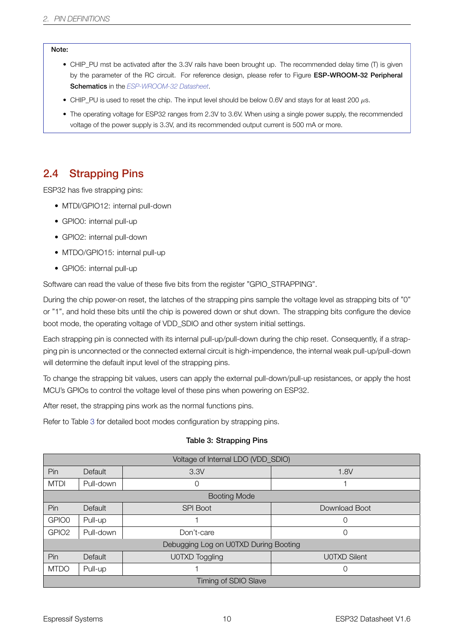- CHIP\_PU mst be activated after the 3.3V rails have been brought up. The recommended delay time (T) is given by the parameter of the RC circuit. For reference design, please refer to Figure ESP-WROOM-32 Peripheral Schematics in the *ESP-WROOM-32 Datasheet*.
- CHIP\_PU is used to reset the chip. The input level should be below 0.6V and stays for at least 200 *µ*s.
- The operating voltage for ESP32 ranges from 2.3V to 3.6V. When using a single power supply, the recommended voltage of the pow[er supply is 3.3V, and its reco](http://espressif.com/sites/default/files/documentation/esp_wroom_32_datasheet_en.pdf)mmended output current is 500 mA or more.

### 2.4 Strapping Pins

<span id="page-17-0"></span>ESP32 has five strapping pins:

- MTDI/GPIO12: internal pull-down
- GPIO0: internal pull-up
- GPIO2: internal pull-down
- MTDO/GPIO15: internal pull-up
- GPIO5: internal pull-up

Software can read the value of these five bits from the register "GPIO\_STRAPPING".

During the chip power-on reset, the latches of the strapping pins sample the voltage level as strapping bits of "0" or "1", and hold these bits until the chip is powered down or shut down. The strapping bits configure the device boot mode, the operating voltage of VDD\_SDIO and other system initial settings.

Each strapping pin is connected with its internal pull-up/pull-down during the chip reset. Consequently, if a strapping pin is unconnected or the connected external circuit is high-impendence, the internal weak pull-up/pull-down will determine the default input level of the strapping pins.

To change the strapping bit values, users can apply the external pull-down/pull-up resistances, or apply the host MCU's GPIOs to control the voltage level of these pins when powering on ESP32.

After reset, the strapping pins work as the normal functions pins.

Refer to Table 3 for detailed boot modes configuration by strapping pins.

#### Table 3: Strapping Pins

<span id="page-17-1"></span>

| Voltage of Internal LDO (VDD_SDIO)    |                |                     |                     |  |  |
|---------------------------------------|----------------|---------------------|---------------------|--|--|
| Pin                                   | <b>Default</b> | 3.3V<br>1.8V        |                     |  |  |
| <b>MTDI</b>                           | Pull-down      | 0                   |                     |  |  |
|                                       |                | <b>Booting Mode</b> |                     |  |  |
| Pin                                   | Default        | <b>SPI Boot</b>     | Download Boot       |  |  |
| GPIO0                                 | Pull-up        |                     |                     |  |  |
| GPIO <sub>2</sub>                     | Pull-down      | Don't-care          | $\Omega$            |  |  |
| Debugging Log on U0TXD During Booting |                |                     |                     |  |  |
| Pin                                   | Default        | U0TXD Toggling      | <b>UOTXD Silent</b> |  |  |
| <b>MTDO</b>                           | Pull-up        |                     |                     |  |  |
| Timing of SDIO Slave                  |                |                     |                     |  |  |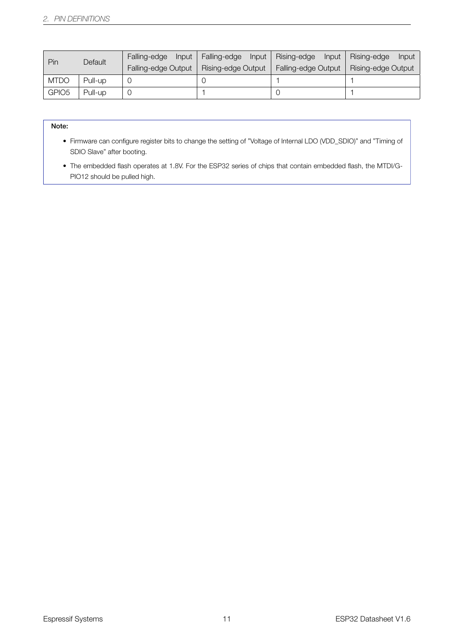| Pin               | Default | Falling-edge<br>Input | Falling-edge<br>Input | Rising-edge<br>Input | Rising-edge<br><b>Input</b> |
|-------------------|---------|-----------------------|-----------------------|----------------------|-----------------------------|
|                   |         | Falling-edge Output   | Rising-edge Output    | Falling-edge Output  | Rising-edge Output          |
| <b>MTDO</b>       | Pull-up |                       |                       |                      |                             |
| GPIO <sub>5</sub> | Pull-up |                       |                       |                      |                             |

- Firmware can configure register bits to change the setting of "Voltage of Internal LDO (VDD\_SDIO)" and "Timing of SDIO Slave" after booting.
- The embedded flash operates at 1.8V. For the ESP32 series of chips that contain embedded flash, the MTDI/G-PIO12 should be pulled high.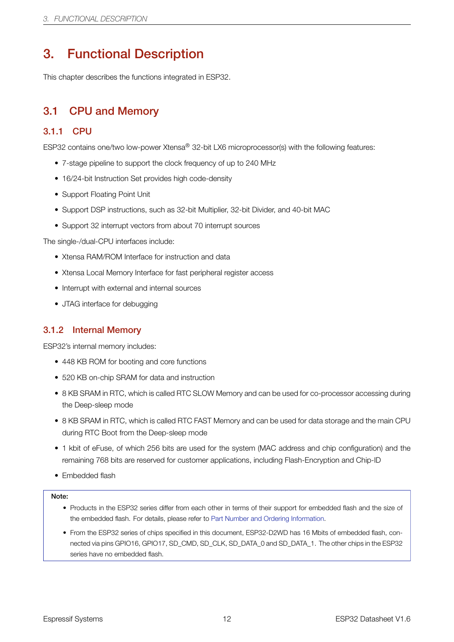# 3. Functional Description

<span id="page-19-2"></span>This chapter describes the functions integrated in ESP32.

# 3.1 CPU and Memory

### <span id="page-19-0"></span>3.1.1 CPU

ESP32 contains one/two low-power Xtensa® 32-bit LX6 microprocessor(s) with the following features:

- <span id="page-19-3"></span>• 7-stage pipeline to support the clock frequency of up to 240 MHz
- 16/24-bit Instruction Set provides high code-density
- Support Floating Point Unit
- Support DSP instructions, such as 32-bit Multiplier, 32-bit Divider, and 40-bit MAC
- Support 32 interrupt vectors from about 70 interrupt sources

The single-/dual-CPU interfaces include:

- Xtensa RAM/ROM Interface for instruction and data
- Xtensa Local Memory Interface for fast peripheral register access
- Interrupt with external and internal sources
- JTAG interface for debugging

### 3.1.2 Internal Memory

ESP32's internal memory includes:

- <span id="page-19-1"></span>• 448 KB ROM for booting and core functions
- 520 KB on-chip SRAM for data and instruction
- 8 KB SRAM in RTC, which is called RTC SLOW Memory and can be used for co-processor accessing during the Deep-sleep mode
- 8 KB SRAM in RTC, which is called RTC FAST Memory and can be used for data storage and the main CPU during RTC Boot from the Deep-sleep mode
- 1 kbit of eFuse, of which 256 bits are used for the system (MAC address and chip configuration) and the remaining 768 bits are reserved for customer applications, including Flash-Encryption and Chip-ID
- Embedded flash

#### Note:

- Products in the ESP32 series differ from each other in terms of their support for embedded flash and the size of the embedded flash. For details, please refer to Part Number and Ordering Information.
- From the ESP32 series of chips specified in this document, ESP32-D2WD has 16 Mbits of embedded flash, connected via pins GPIO16, GPIO17, SD\_CMD, SD\_CLK, SD\_DATA\_0 and SD\_DATA\_1. The other chips in the ESP32 series have no embedded flash.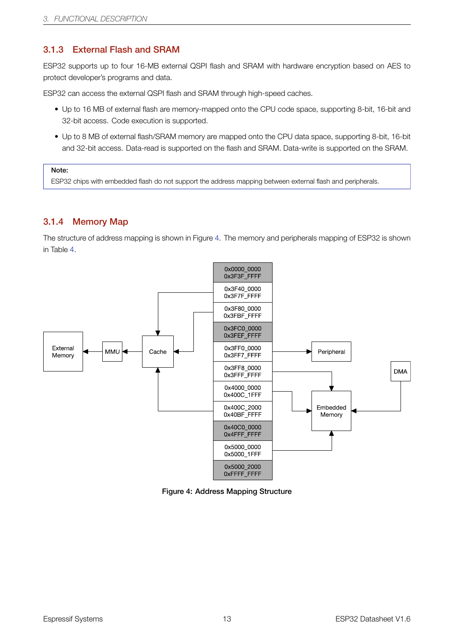#### 3.1.3 External Flash and SRAM

ESP32 supports up to four 16-MB external QSPI flash and SRAM with hardware encryption based on AES to protect developer's programs and data.

<span id="page-20-0"></span>ESP32 can access the external QSPI flash and SRAM through high-speed caches.

- Up to 16 MB of external flash are memory-mapped onto the CPU code space, supporting 8-bit, 16-bit and 32-bit access. Code execution is supported.
- Up to 8 MB of external flash/SRAM memory are mapped onto the CPU data space, supporting 8-bit, 16-bit and 32-bit access. Data-read is supported on the flash and SRAM. Data-write is supported on the SRAM.

#### Note:

ESP32 chips with embedded flash do not support the address mapping between external flash and peripherals.

#### 3.1.4 Memory Map

<span id="page-20-1"></span>The structure of address mapping is shown in Figure 4. The memory and peripherals mapping of ESP32 is shown in Table 4.

<span id="page-20-2"></span>

Figure 4: Address Mapping Structure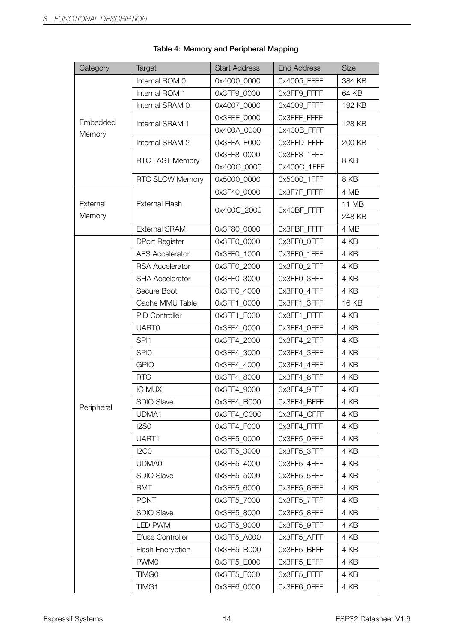<span id="page-21-0"></span>

| Category           | <b>Target</b>                 | <b>Start Address</b> | <b>End Address</b> | <b>Size</b>     |
|--------------------|-------------------------------|----------------------|--------------------|-----------------|
|                    | Internal ROM 0                | 0x4000 0000          | 0x4005_FFFF        | 384 KB          |
|                    | Internal ROM 1                | 0x3FF9_0000          | 0x3FF9_FFFF        | 64 KB           |
|                    | Internal SRAM 0               | 0x4007_0000          | 0x4009_FFFF        | 192 KB          |
| Embedded           | Internal SRAM 1               | 0x3FFE_0000          | 0x3FFF_FFFF        | 128 KB          |
| Memory             |                               | 0x400A_0000          | 0x400B_FFFF        |                 |
|                    | Internal SRAM 2               | 0x3FFA_E000          | 0x3FFD_FFFF        | 200 KB          |
|                    |                               | 0x3FF8 0000          | 0x3FF8_1FFF        | 8KB             |
|                    | <b>RTC FAST Memory</b>        | 0x400C 0000          | 0x400C 1FFF        |                 |
|                    | <b>RTC SLOW Memory</b>        | 0x5000_0000          | 0x5000_1FFF        | 8KB             |
|                    |                               | 0x3F40_0000          | 0x3F7F_FFFF        | 4 MB            |
| External<br>Memory | <b>External Flash</b>         | 0x400C_2000          | 0x40BF FFFF        | 11 MB<br>248 KB |
|                    | <b>External SRAM</b>          | 0x3F80_0000          | Ox3FBF FFFF        | 4 MB            |
|                    | <b>DPort Register</b>         | 0x3FF0_0000          | 0x3FF0_0FFF        | 4 KB            |
|                    | <b>AES Accelerator</b>        | 0x3FF0_1000          | 0x3FF0_1FFF        | 4 KB            |
|                    | <b>RSA Accelerator</b>        | 0x3FF0 2000          | 0x3FF0 2FFF        | 4 KB            |
|                    | <b>SHA Accelerator</b>        | 0x3FF0 3000          | 0x3FF0_3FFF        | 4 KB            |
|                    | Secure Boot                   | 0x3FF0_4000          | 0x3FF0_4FFF        | 4 KB            |
|                    | Cache MMU Table               | 0x3FF1_0000          | 0x3FF1_3FFF        | 16 KB           |
|                    | <b>PID Controller</b>         | 0x3FF1_F000          | Ox3FF1 FFFF        | 4 KB            |
|                    | <b>UART0</b>                  | 0x3FF4_0000          | 0x3FF4_0FFF        | 4 KB            |
|                    | SPI <sub>1</sub>              | 0x3FF4_2000          | 0x3FF4_2FFF        | 4 KB            |
|                    | SPI <sub>0</sub>              | 0x3FF4_3000          | 0x3FF4_3FFF        | 4 KB            |
|                    | <b>GPIO</b>                   | 0x3FF4_4000          | 0x3FF4_4FFF        | 4 KB            |
|                    | <b>RTC</b>                    | 0x3FF4 8000          | 0x3FF4_8FFF        | 4 KB            |
|                    | IO MUX                        | 0x3FF4_9000          | 0x3FF4_9FFF        | 4 KB            |
|                    | <b>SDIO Slave</b>             | 0x3FF4_B000          | 0x3FF4_BFFF        | 4 KB            |
| Peripheral         | UDMA1                         | 0x3FF4_C000          | 0x3FF4_CFFF        | 4 KB            |
|                    | <b>I2S0</b>                   | 0x3FF4_F000          | 0x3FF4_FFFF        | 4 KB            |
|                    | UART1                         | 0x3FF5_0000          | 0x3FF5_0FFF        | 4 KB            |
|                    | I <sub>2</sub> C <sub>0</sub> | 0x3FF5_3000          | 0x3FF5_3FFF        | 4 KB            |
|                    | UDMA0                         | 0x3FF5_4000          | Ox3FF5 4FFF        | 4 KB            |
|                    | <b>SDIO Slave</b>             | 0x3FF5_5000          | 0x3FF5_5FFF        | 4 KB            |
|                    | RMT                           | 0x3FF5_6000          | 0x3FF5_6FFF        | 4 KB            |
|                    | <b>PCNT</b>                   | 0x3FF5_7000          | 0x3FF5_7FFF        | 4 KB            |
|                    | <b>SDIO Slave</b>             | 0x3FF5_8000          | 0x3FF5_8FFF        | 4 KB            |
|                    | <b>LED PWM</b>                | 0x3FF5_9000          | 0x3FF5_9FFF        | 4 KB            |
|                    | Efuse Controller              | 0x3FF5_A000          | 0x3FF5_AFFF        | 4 KB            |
|                    | Flash Encryption              | 0x3FF5_B000          | 0x3FF5_BFFF        | 4 KB            |
|                    | <b>PWM0</b>                   | 0x3FF5_E000          | 0x3FF5_EFFF        | 4 KB            |
|                    | TIMG0                         | 0x3FF5_F000          | 0x3FF5_FFFF        | 4 KB            |
|                    | TIMG1                         | 0x3FF6_0000          | 0x3FF6_0FFF        | 4 KB            |

#### Table 4: Memory and Peripheral Mapping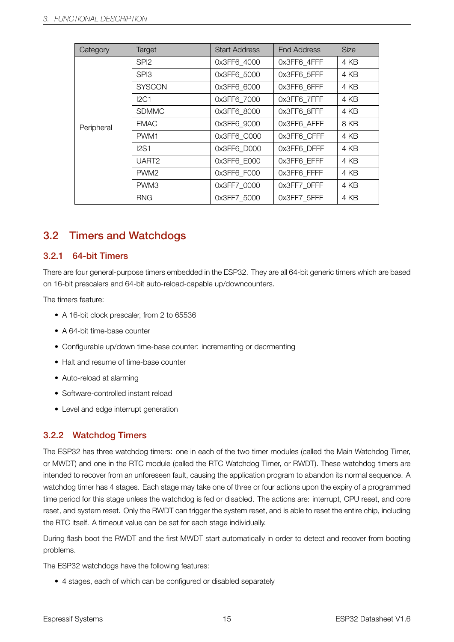| Category   | Target            | <b>Start Address</b> | End Address | <b>Size</b> |
|------------|-------------------|----------------------|-------------|-------------|
|            | SPI <sub>2</sub>  | 0x3FF6 4000          | 0x3FF6 4FFF | 4 KB        |
|            | SPI3              | 0x3FF6 5000          | 0x3FF6 5FFF | 4 KB        |
|            | <b>SYSCON</b>     | 0x3FF6 6000          | 0x3FF6 6FFF | 4 KB        |
|            | <b>I2C1</b>       | 0x3FF6_7000          | 0x3FF6 7FFF | 4 KB        |
|            | <b>SDMMC</b>      | 0x3FF6 8000          | 0x3FF6 8FFF | 4 KB        |
| Peripheral | <b>EMAC</b>       | 0x3FF6 9000          | 0x3FF6 AFFF | 8 KB        |
|            | PWM1              | 0x3FF6 C000          | 0x3FF6 CFFF | 4 KB        |
|            | I2S1              | 0x3FF6 D000          | 0x3FF6 DFFF | 4 KB        |
|            | UART <sub>2</sub> | 0x3FF6 E000          | 0x3FF6 EFFF | 4 KB        |
|            | PWM <sub>2</sub>  | 0x3FF6 F000          | 0x3FF6 FFFF | 4 KB        |
|            | PWM3              | 0x3FF7 0000          | 0x3FF7 OFFF | 4 KB        |
|            | <b>RNG</b>        | 0x3FF7 5000          | 0x3FF7_5FFF | 4 KB        |

### <span id="page-22-0"></span>3.2 Timers and Watchdogs

#### <span id="page-22-1"></span>3.2.1 64-bit Timers

There are four general-purpose timers embedded in the ESP32. They are all 64-bit generic timers which are based on 16-bit prescalers and 64-bit auto-reload-capable up/downcounters.

The timers feature:

- A 16-bit clock prescaler, from 2 to 65536
- A 64-bit time-base counter
- Configurable up/down time-base counter: incrementing or decrmenting
- Halt and resume of time-base counter
- Auto-reload at alarming
- Software-controlled instant reload
- Level and edge interrupt generation

#### <span id="page-22-2"></span>3.2.2 Watchdog Timers

The ESP32 has three watchdog timers: one in each of the two timer modules (called the Main Watchdog Timer, or MWDT) and one in the RTC module (called the RTC Watchdog Timer, or RWDT). These watchdog timers are intended to recover from an unforeseen fault, causing the application program to abandon its normal sequence. A watchdog timer has 4 stages. Each stage may take one of three or four actions upon the expiry of a programmed time period for this stage unless the watchdog is fed or disabled. The actions are: interrupt, CPU reset, and core reset, and system reset. Only the RWDT can trigger the system reset, and is able to reset the entire chip, including the RTC itself. A timeout value can be set for each stage individually.

During flash boot the RWDT and the first MWDT start automatically in order to detect and recover from booting problems.

The ESP32 watchdogs have the following features:

• 4 stages, each of which can be configured or disabled separately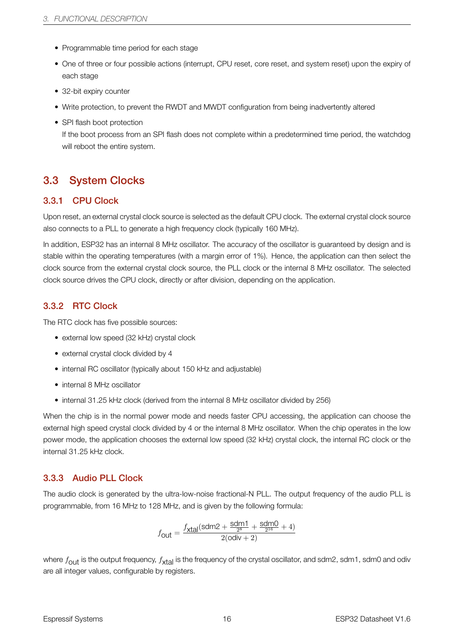- Programmable time period for each stage
- One of three or four possible actions (interrupt, CPU reset, core reset, and system reset) upon the expiry of each stage
- 32-bit expiry counter
- Write protection, to prevent the RWDT and MWDT configuration from being inadvertently altered
- SPI flash boot protection

If the boot process from an SPI flash does not complete within a predetermined time period, the watchdog will reboot the entire system.

### <span id="page-23-1"></span>3.3 System Clocks

#### <span id="page-23-2"></span>3.3.1 CPU Clock

Upon reset, an external crystal clock source is selected as the default CPU clock. The external crystal clock source also connects to a PLL to generate a high frequency clock (typically 160 MHz).

In addition, ESP32 has an internal 8 MHz oscillator. The accuracy of the oscillator is guaranteed by design and is stable within the operating temperatures (with a margin error of 1%). Hence, the application can then select the clock source from the external crystal clock source, the PLL clock or the internal 8 MHz oscillator. The selected clock source drives the CPU clock, directly or after division, depending on the application.

#### <span id="page-23-3"></span>3.3.2 RTC Clock

The RTC clock has five possible sources:

- external low speed (32 kHz) crystal clock
- external crystal clock divided by 4
- internal RC oscillator (typically about 150 kHz and adjustable)
- internal 8 MHz oscillator
- internal 31.25 kHz clock (derived from the internal 8 MHz oscillator divided by 256)

When the chip is in the normal power mode and needs faster CPU accessing, the application can choose the external high speed crystal clock divided by 4 or the internal 8 MHz oscillator. When the chip operates in the low power mode, the application chooses the external low speed (32 kHz) crystal clock, the internal RC clock or the internal 31.25 kHz clock.

#### <span id="page-23-0"></span>3.3.3 Audio PLL Clock

The audio clock is generated by the ultra-low-noise fractional-N PLL. The output frequency of the audio PLL is programmable, from 16 MHz to 128 MHz, and is given by the following formula:

$$
f_{\text{Out}} = \frac{f_{\text{Xtal}}(\text{sdm2} + \frac{\text{sdm1}}{2^8} + \frac{\text{sdm0}}{2^{16}} + 4)}{2(\text{odiv} + 2)}
$$

where  $f_{\sf{Out}}$  is the output frequency,  $f_{\sf{xtal}}$  is the frequency of the crystal oscillator, and sdm2, sdm1, sdm0 and odiv are all integer values, configurable by registers.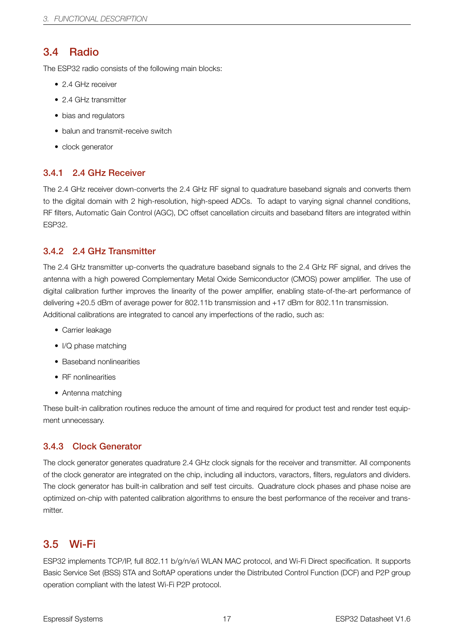### <span id="page-24-0"></span>3.4 Radio

The ESP32 radio consists of the following main blocks:

- 2.4 GHz receiver
- 2.4 GHz transmitter
- bias and regulators
- balun and transmit-receive switch
- clock generator

#### <span id="page-24-1"></span>3.4.1 2.4 GHz Receiver

The 2.4 GHz receiver down-converts the 2.4 GHz RF signal to quadrature baseband signals and converts them to the digital domain with 2 high-resolution, high-speed ADCs. To adapt to varying signal channel conditions, RF filters, Automatic Gain Control (AGC), DC offset cancellation circuits and baseband filters are integrated within ESP32.

#### <span id="page-24-2"></span>3.4.2 2.4 GHz Transmitter

The 2.4 GHz transmitter up-converts the quadrature baseband signals to the 2.4 GHz RF signal, and drives the antenna with a high powered Complementary Metal Oxide Semiconductor (CMOS) power amplifier. The use of digital calibration further improves the linearity of the power amplifier, enabling state-of-the-art performance of delivering +20.5 dBm of average power for 802.11b transmission and +17 dBm for 802.11n transmission. Additional calibrations are integrated to cancel any imperfections of the radio, such as:

- Carrier leakage
- I/Q phase matching
- Baseband nonlinearities
- RF nonlinearities
- Antenna matching

These built-in calibration routines reduce the amount of time and required for product test and render test equipment unnecessary.

### <span id="page-24-3"></span>3.4.3 Clock Generator

The clock generator generates quadrature 2.4 GHz clock signals for the receiver and transmitter. All components of the clock generator are integrated on the chip, including all inductors, varactors, filters, regulators and dividers. The clock generator has built-in calibration and self test circuits. Quadrature clock phases and phase noise are optimized on-chip with patented calibration algorithms to ensure the best performance of the receiver and transmitter

### <span id="page-24-4"></span>3.5 Wi-Fi

ESP32 implements TCP/IP, full 802.11 b/g/n/e/i WLAN MAC protocol, and Wi-Fi Direct specification. It supports Basic Service Set (BSS) STA and SoftAP operations under the Distributed Control Function (DCF) and P2P group operation compliant with the latest Wi-Fi P2P protocol.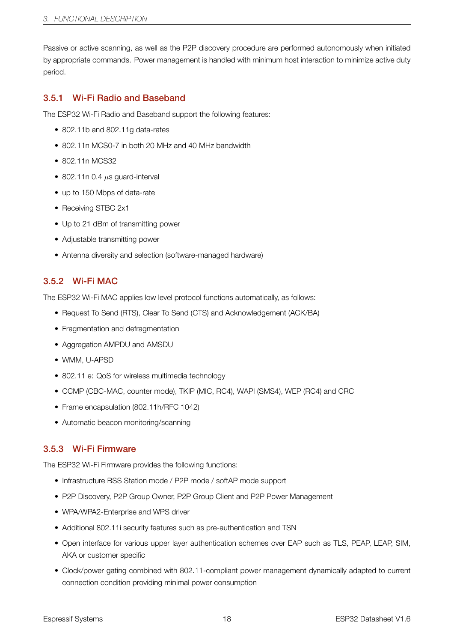Passive or active scanning, as well as the P2P discovery procedure are performed autonomously when initiated by appropriate commands. Power management is handled with minimum host interaction to minimize active duty period.

#### <span id="page-25-0"></span>3.5.1 Wi-Fi Radio and Baseband

The ESP32 Wi-Fi Radio and Baseband support the following features:

- 802.11b and 802.11g data-rates
- 802.11n MCS0-7 in both 20 MHz and 40 MHz bandwidth
- 802.11n MCS32
- 802.11n 0.4 *µ*s guard-interval
- up to 150 Mbps of data-rate
- Receiving STBC 2x1
- Up to 21 dBm of transmitting power
- Adjustable transmitting power
- Antenna diversity and selection (software-managed hardware)

#### 3.5.2 Wi-Fi MAC

The ESP32 Wi-Fi MAC applies low level protocol functions automatically, as follows:

- Request To Send (RTS), Clear To Send (CTS) and Acknowledgement (ACK/BA)
- Fragmentation and defragmentation
- Aggregation AMPDU and AMSDU
- WMM, U-APSD
- 802.11 e: QoS for wireless multimedia technology
- CCMP (CBC-MAC, counter mode), TKIP (MIC, RC4), WAPI (SMS4), WEP (RC4) and CRC
- Frame encapsulation (802.11h/RFC 1042)
- Automatic beacon monitoring/scanning

#### 3.5.3 Wi-Fi Firmware

The ESP32 Wi-Fi Firmware provides the following functions:

- Infrastructure BSS Station mode / P2P mode / softAP mode support
- P2P Discovery, P2P Group Owner, P2P Group Client and P2P Power Management
- WPA/WPA2-Enterprise and WPS driver
- Additional 802.11i security features such as pre-authentication and TSN
- Open interface for various upper layer authentication schemes over EAP such as TLS, PEAP, LEAP, SIM, AKA or customer specific
- Clock/power gating combined with 802.11-compliant power management dynamically adapted to current connection condition providing minimal power consumption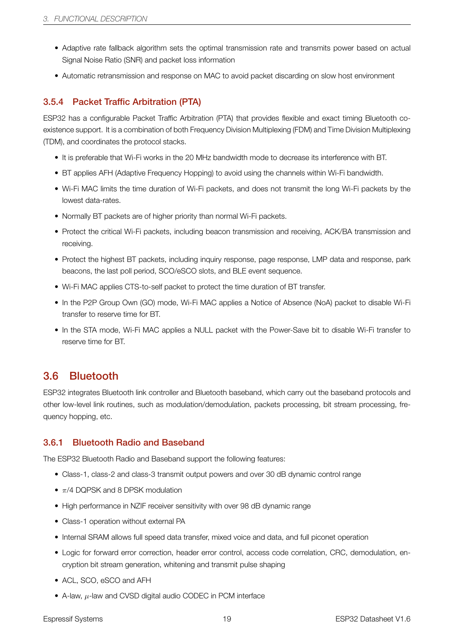- Adaptive rate fallback algorithm sets the optimal transmission rate and transmits power based on actual Signal Noise Ratio (SNR) and packet loss information
- Automatic retransmission and response on MAC to avoid packet discarding on slow host environment

### 3.5.4 Packet Traffic Arbitration (PTA)

ESP32 has a configurable Packet Traffic Arbitration (PTA) that provides flexible and exact timing Bluetooth coexistence support. It is a combination of both Frequency Division Multiplexing (FDM) and Time Division Multiplexing (TDM), and coordinates the protocol stacks.

- It is preferable that Wi-Fi works in the 20 MHz bandwidth mode to decrease its interference with BT.
- BT applies AFH (Adaptive Frequency Hopping) to avoid using the channels within Wi-Fi bandwidth.
- Wi-Fi MAC limits the time duration of Wi-Fi packets, and does not transmit the long Wi-Fi packets by the lowest data-rates.
- Normally BT packets are of higher priority than normal Wi-Fi packets.
- Protect the critical Wi-Fi packets, including beacon transmission and receiving, ACK/BA transmission and receiving.
- Protect the highest BT packets, including inquiry response, page response, LMP data and response, park beacons, the last poll period, SCO/eSCO slots, and BLE event sequence.
- Wi-Fi MAC applies CTS-to-self packet to protect the time duration of BT transfer.
- In the P2P Group Own (GO) mode, Wi-Fi MAC applies a Notice of Absence (NoA) packet to disable Wi-Fi transfer to reserve time for BT.
- In the STA mode, Wi-Fi MAC applies a NULL packet with the Power-Save bit to disable Wi-Fi transfer to reserve time for BT.

### <span id="page-26-0"></span>3.6 Bluetooth

ESP32 integrates Bluetooth link controller and Bluetooth baseband, which carry out the baseband protocols and other low-level link routines, such as modulation/demodulation, packets processing, bit stream processing, frequency hopping, etc.

#### <span id="page-26-1"></span>3.6.1 Bluetooth Radio and Baseband

The ESP32 Bluetooth Radio and Baseband support the following features:

- Class-1, class-2 and class-3 transmit output powers and over 30 dB dynamic control range
- *π*/4 DQPSK and 8 DPSK modulation
- High performance in NZIF receiver sensitivity with over 98 dB dynamic range
- Class-1 operation without external PA
- Internal SRAM allows full speed data transfer, mixed voice and data, and full piconet operation
- Logic for forward error correction, header error control, access code correlation, CRC, demodulation, encryption bit stream generation, whitening and transmit pulse shaping
- ACL, SCO, eSCO and AFH
- A-law, *µ*-law and CVSD digital audio CODEC in PCM interface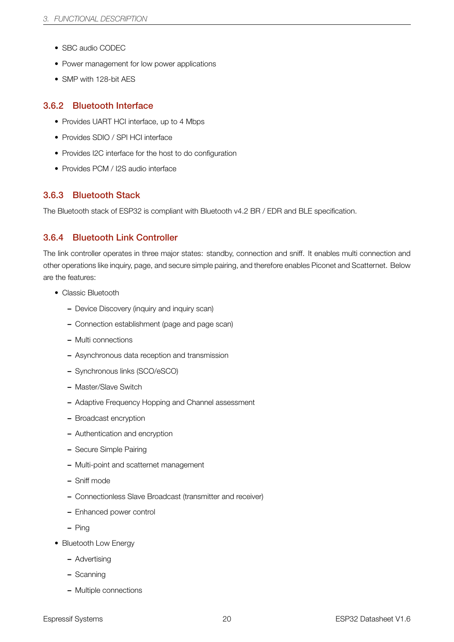- SBC audio CODEC
- Power management for low power applications
- SMP with 128-bit AES

#### <span id="page-27-0"></span>3.6.2 Bluetooth Interface

- Provides UART HCI interface, up to 4 Mbps
- Provides SDIO / SPI HCI interface
- Provides I2C interface for the host to do configuration
- Provides PCM / I2S audio interface

#### <span id="page-27-1"></span>3.6.3 Bluetooth Stack

The Bluetooth stack of ESP32 is compliant with Bluetooth v4.2 BR / EDR and BLE specification.

### <span id="page-27-2"></span>3.6.4 Bluetooth Link Controller

The link controller operates in three major states: standby, connection and sniff. It enables multi connection and other operations like inquiry, page, and secure simple pairing, and therefore enables Piconet and Scatternet. Below are the features:

- Classic Bluetooth
	- Device Discovery (inquiry and inquiry scan)
	- Connection establishment (page and page scan)
	- Multi connections
	- Asynchronous data reception and transmission
	- Synchronous links (SCO/eSCO)
	- Master/Slave Switch
	- Adaptive Frequency Hopping and Channel assessment
	- Broadcast encryption
	- Authentication and encryption
	- Secure Simple Pairing
	- Multi-point and scatternet management
	- Sniff mode
	- Connectionless Slave Broadcast (transmitter and receiver)
	- Enhanced power control
	- Ping
- Bluetooth Low Energy
	- Advertising
	- Scanning
	- Multiple connections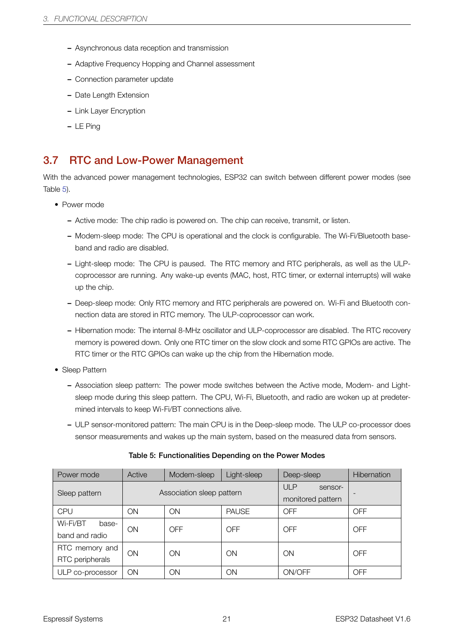- Asynchronous data reception and transmission
- Adaptive Frequency Hopping and Channel assessment
- Connection parameter update
- Date Length Extension
- Link Layer Encryption
- LE Ping

### 3.7 RTC and Low-Power Management

<span id="page-28-0"></span>With the advanced power management technologies, ESP32 can switch between different power modes (see Table 5).

- Power mode
	- Active mode: The chip radio is powered on. The chip can receive, transmit, or listen.
	- Modem-sleep mode: The CPU is operational and the clock is configurable. The Wi-Fi/Bluetooth baseband and radio are disabled.
	- Light-sleep mode: The CPU is paused. The RTC memory and RTC peripherals, as well as the ULPcoprocessor are running. Any wake-up events (MAC, host, RTC timer, or external interrupts) will wake up the chip.
	- Deep-sleep mode: Only RTC memory and RTC peripherals are powered on. Wi-Fi and Bluetooth connection data are stored in RTC memory. The ULP-coprocessor can work.
	- Hibernation mode: The internal 8-MHz oscillator and ULP-coprocessor are disabled. The RTC recovery memory is powered down. Only one RTC timer on the slow clock and some RTC GPIOs are active. The RTC timer or the RTC GPIOs can wake up the chip from the Hibernation mode.
- Sleep Pattern
	- Association sleep pattern: The power mode switches between the Active mode, Modem- and Lightsleep mode during this sleep pattern. The CPU, Wi-Fi, Bluetooth, and radio are woken up at predetermined intervals to keep Wi-Fi/BT connections alive.
	- ULP sensor-monitored pattern: The main CPU is in the Deep-sleep mode. The ULP co-processor does sensor measurements and wakes up the main system, based on the measured data from sensors.

<span id="page-28-1"></span>

| Power mode                          | Active    | Modem-sleep               | Light-sleep  | Deep-sleep                                 | <b>Hibernation</b> |
|-------------------------------------|-----------|---------------------------|--------------|--------------------------------------------|--------------------|
| Sleep pattern                       |           | Association sleep pattern |              | <b>ULP</b><br>sensor-<br>monitored pattern |                    |
| <b>CPU</b>                          | ON        | ON                        | <b>PAUSE</b> | <b>OFF</b>                                 | <b>OFF</b>         |
| Wi-Fi/BT<br>base-<br>band and radio | <b>ON</b> | OFF                       | OFF          | <b>OFF</b>                                 | <b>OFF</b>         |
| RTC memory and<br>RTC peripherals   | <b>ON</b> | ON                        | ON           | ON                                         | <b>OFF</b>         |
| ULP co-processor                    | ON        | ON                        | ON           | ON/OFF                                     | OFF                |

#### Table 5: Functionalities Depending on the Power Modes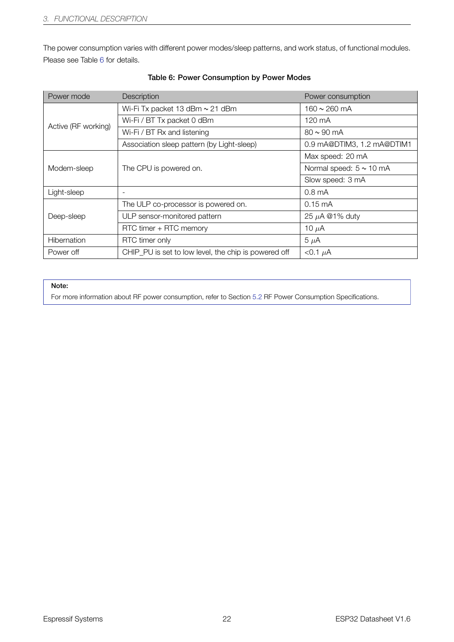The power consumption varies with different power modes/sleep patterns, and work status, of functional modules. Please see Table 6 for details.

<span id="page-29-0"></span>

| Power mode          | Description                                          | Power consumption            |
|---------------------|------------------------------------------------------|------------------------------|
|                     | Wi-Fi Tx packet 13 dBm $\sim$ 21 dBm                 | $160 \sim 260$ mA            |
| Active (RF working) | Wi-Fi / BT Tx packet 0 dBm                           | 120 mA                       |
|                     | Wi-Fi / BT Rx and listening                          | $80 \sim 90 \text{ mA}$      |
|                     | Association sleep pattern (by Light-sleep)           | 0.9 mA@DTIM3, 1.2 mA@DTIM1   |
|                     |                                                      | Max speed: 20 mA             |
| Modem-sleep         | The CPU is powered on.                               | Normal speed: $5 \sim 10$ mA |
|                     |                                                      | Slow speed: 3 mA             |
| Light-sleep         | $\overline{\phantom{a}}$                             | $0.8 \text{ mA}$             |
|                     | The ULP co-processor is powered on.                  | $0.15 \text{ mA}$            |
| Deep-sleep          | ULP sensor-monitored pattern                         | 25 $\mu$ A @1% duty          |
|                     | RTC timer + RTC memory                               | 10 $\mu$ A                   |
| <b>Hibernation</b>  | RTC timer only                                       | $5 \mu A$                    |
| Power off           | CHIP_PU is set to low level, the chip is powered off | $< 0.1 \mu A$                |

#### Table 6: Power Consumption by Power Modes

#### Note:

For more information about RF power consumption, refer to Section 5.2 RF Power Consumption Specifications.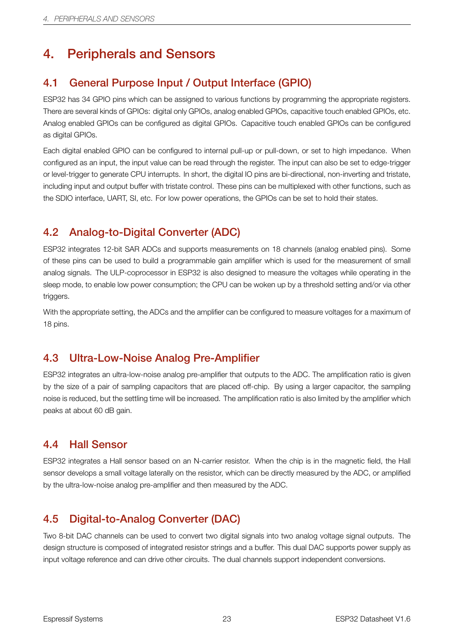# <span id="page-30-0"></span>4. Peripherals and Sensors

### <span id="page-30-1"></span>4.1 General Purpose Input / Output Interface (GPIO)

ESP32 has 34 GPIO pins which can be assigned to various functions by programming the appropriate registers. There are several kinds of GPIOs: digital only GPIOs, analog enabled GPIOs, capacitive touch enabled GPIOs, etc. Analog enabled GPIOs can be configured as digital GPIOs. Capacitive touch enabled GPIOs can be configured as digital GPIOs.

Each digital enabled GPIO can be configured to internal pull-up or pull-down, or set to high impedance. When configured as an input, the input value can be read through the register. The input can also be set to edge-trigger or level-trigger to generate CPU interrupts. In short, the digital IO pins are bi-directional, non-inverting and tristate, including input and output buffer with tristate control. These pins can be multiplexed with other functions, such as the SDIO interface, UART, SI, etc. For low power operations, the GPIOs can be set to hold their states.

### <span id="page-30-2"></span>4.2 Analog-to-Digital Converter (ADC)

ESP32 integrates 12-bit SAR ADCs and supports measurements on 18 channels (analog enabled pins). Some of these pins can be used to build a programmable gain amplifier which is used for the measurement of small analog signals. The ULP-coprocessor in ESP32 is also designed to measure the voltages while operating in the sleep mode, to enable low power consumption; the CPU can be woken up by a threshold setting and/or via other triggers.

With the appropriate setting, the ADCs and the amplifier can be configured to measure voltages for a maximum of 18 pins.

### <span id="page-30-3"></span>4.3 Ultra-Low-Noise Analog Pre-Amplifier

ESP32 integrates an ultra-low-noise analog pre-amplifier that outputs to the ADC. The amplification ratio is given by the size of a pair of sampling capacitors that are placed off-chip. By using a larger capacitor, the sampling noise is reduced, but the settling time will be increased. The amplification ratio is also limited by the amplifier which peaks at about 60 dB gain.

### <span id="page-30-4"></span>4.4 Hall Sensor

ESP32 integrates a Hall sensor based on an N-carrier resistor. When the chip is in the magnetic field, the Hall sensor develops a small voltage laterally on the resistor, which can be directly measured by the ADC, or amplified by the ultra-low-noise analog pre-amplifier and then measured by the ADC.

### <span id="page-30-5"></span>4.5 Digital-to-Analog Converter (DAC)

Two 8-bit DAC channels can be used to convert two digital signals into two analog voltage signal outputs. The design structure is composed of integrated resistor strings and a buffer. This dual DAC supports power supply as input voltage reference and can drive other circuits. The dual channels support independent conversions.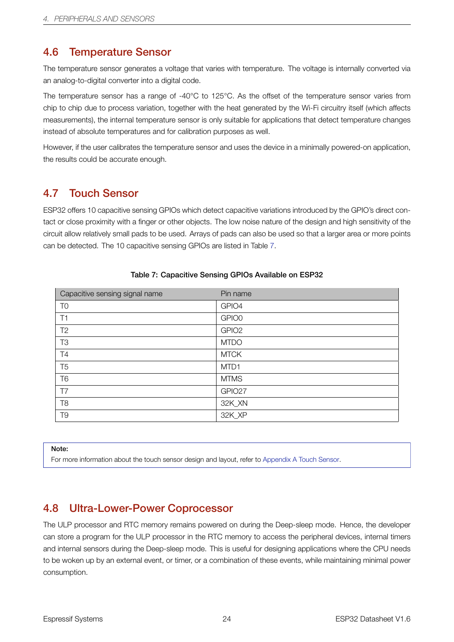### 4.6 Temperature Sensor

The temperature sensor generates a voltage that varies with temperature. The voltage is internally converted via an analog-to-digital converter into a digital code.

<span id="page-31-0"></span>The temperature sensor has a range of -40°C to 125°C. As the offset of the temperature sensor varies from chip to chip due to process variation, together with the heat generated by the Wi-Fi circuitry itself (which affects measurements), the internal temperature sensor is only suitable for applications that detect temperature changes instead of absolute temperatures and for calibration purposes as well.

However, if the user calibrates the temperature sensor and uses the device in a minimally powered-on application, the results could be accurate enough.

### 4.7 Touch Sensor

<span id="page-31-1"></span>ESP32 offers 10 capacitive sensing GPIOs which detect capacitive variations introduced by the GPIO's direct contact or close proximity with a finger or other objects. The low noise nature of the design and high sensitivity of the circuit allow relatively small pads to be used. Arrays of pads can also be used so that a larger area or more points can be detected. The 10 capacitive sensing GPIOs are listed in Table 7.

<span id="page-31-3"></span>

| Capacitive sensing signal name | Pin name          |
|--------------------------------|-------------------|
| T <sub>0</sub>                 | GPIO4             |
| T1                             | GPIO0             |
| T <sub>2</sub>                 | GPIO <sub>2</sub> |
| T <sub>3</sub>                 | <b>MTDO</b>       |
| T4                             | <b>MTCK</b>       |
| T <sub>5</sub>                 | MTD1              |
| T <sub>6</sub>                 | <b>MTMS</b>       |
| T7                             | GPIO27            |
| T <sub>8</sub>                 | 32K_XN            |
| T <sub>9</sub>                 | 32K_XP            |

#### Table 7: Capacitive Sensing GPIOs Ava[ila](#page-31-3)ble on ESP32

Note:

For more information about the touch sensor design and layout, refer to Appendix A Touch Sensor.

### 4.8 Ultra-Lower-Power Coprocessor

<span id="page-31-2"></span>The ULP processor and RTC memory remains powered on during the Deep-sleep mode. Hence, the developer can store a program for the ULP processor in the RTC memory to access the peripheral devices, internal timers and internal sensors during the Deep-sleep mode. This is useful for designing applications where the CPU needs to be woken up by an external event, or timer, or a combination of these events, while maintaining minimal power consumption.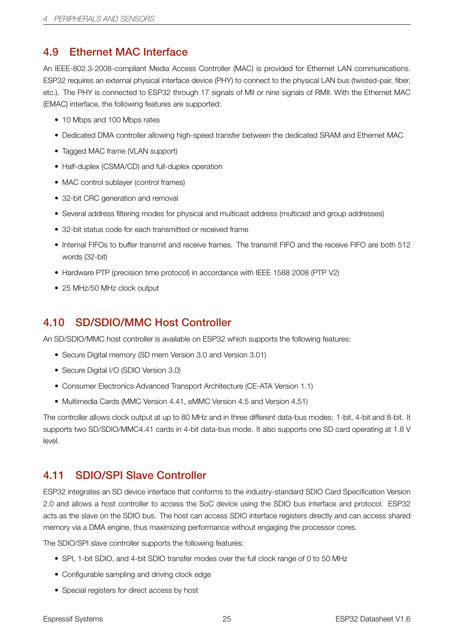### <span id="page-32-0"></span>4.9 Ethernet MAC Interface

An IEEE-802.3-2008-compliant Media Access Controller (MAC) is provided for Ethernet LAN communications. ESP32 requires an external physical interface device (PHY) to connect to the physical LAN bus (twisted-pair, fiber, etc.). The PHY is connected to ESP32 through 17 signals of MII or nine signals of RMII. With the Ethernet MAC (EMAC) interface, the following features are supported:

- 10 Mbps and 100 Mbps rates
- Dedicated DMA controller allowing high-speed transfer between the dedicated SRAM and Ethernet MAC
- Tagged MAC frame (VLAN support)
- Half-duplex (CSMA/CD) and full-duplex operation
- MAC control sublayer (control frames)
- 32-bit CRC generation and removal
- Several address filtering modes for physical and multicast address (multicast and group addresses)
- 32-bit status code for each transmitted or received frame
- Internal FIFOs to buffer transmit and receive frames. The transmit FIFO and the receive FIFO are both 512 words (32-bit)
- Hardware PTP (precision time protocol) in accordance with IEEE 1588 2008 (PTP V2)
- 25 MHz/50 MHz clock output

### <span id="page-32-1"></span>4.10 SD/SDIO/MMC Host Controller

An SD/SDIO/MMC host controller is available on ESP32 which supports the following features:

- Secure Digital memory (SD mem Version 3.0 and Version 3.01)
- Secure Digital I/O (SDIO Version 3.0)
- Consumer Electronics Advanced Transport Architecture (CE-ATA Version 1.1)
- Multimedia Cards (MMC Version 4.41, eMMC Version 4.5 and Version 4.51)

The controller allows clock output at up to 80 MHz and in three different data-bus modes: 1-bit, 4-bit and 8-bit. It supports two SD/SDIO/MMC4.41 cards in 4-bit data-bus mode. It also supports one SD card operating at 1.8 V level.

### <span id="page-32-2"></span>4.11 SDIO/SPI Slave Controller

ESP32 integrates an SD device interface that conforms to the industry-standard SDIO Card Specification Version 2.0 and allows a host controller to access the SoC device using the SDIO bus interface and protocol. ESP32 acts as the slave on the SDIO bus. The host can access SDIO interface registers directly and can access shared memory via a DMA engine, thus maximizing performance without engaging the processor cores.

The SDIO/SPI slave controller supports the following features:

- SPI, 1-bit SDIO, and 4-bit SDIO transfer modes over the full clock range of 0 to 50 MHz
- Configurable sampling and driving clock edge
- Special registers for direct access by host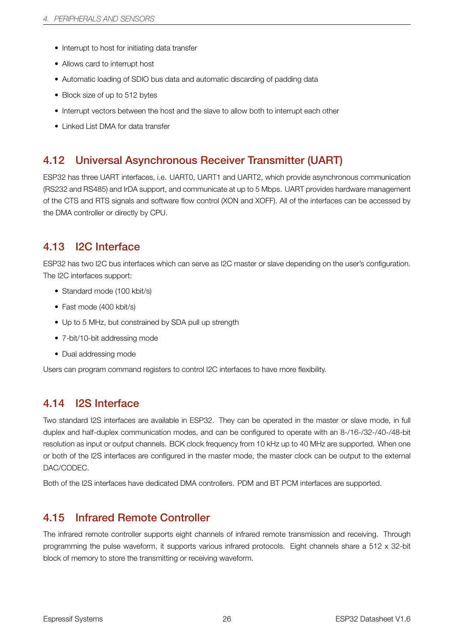- Interrupt to host for initiating data transfer
- Allows card to interrupt host
- Automatic loading of SDIO bus data and automatic discarding of padding data
- Block size of up to 512 bytes
- Interrupt vectors between the host and the slave to allow both to interrupt each other
- Linked List DMA for data transfer

### <span id="page-33-0"></span>4.12 Universal Asynchronous Receiver Transmitter (UART)

ESP32 has three UART interfaces, i.e. UART0, UART1 and UART2, which provide asynchronous communication (RS232 and RS485) and IrDA support, and communicate at up to 5 Mbps. UART provides hardware management of the CTS and RTS signals and software flow control (XON and XOFF). All of the interfaces can be accessed by the DMA controller or directly by CPU.

### <span id="page-33-1"></span>4.13 I2C Interface

ESP32 has two I2C bus interfaces which can serve as I2C master or slave depending on the user's configuration. The I2C interfaces support:

- Standard mode (100 kbit/s)
- Fast mode (400 kbit/s)
- Up to 5 MHz, but constrained by SDA pull up strength
- 7-bit/10-bit addressing mode
- Dual addressing mode

Users can program command registers to control I2C interfaces to have more flexibility.

### <span id="page-33-2"></span>4.14 I2S Interface

Two standard I2S interfaces are available in ESP32. They can be operated in the master or slave mode, in full duplex and half-duplex communication modes, and can be configured to operate with an 8-/16-/32-/40-/48-bit resolution as input or output channels. BCK clock frequency from 10 kHz up to 40 MHz are supported. When one or both of the I2S interfaces are configured in the master mode, the master clock can be output to the external DAC/CODEC.

Both of the I2S interfaces have dedicated DMA controllers. PDM and BT PCM interfaces are supported.

### <span id="page-33-3"></span>4.15 Infrared Remote Controller

The infrared remote controller supports eight channels of infrared remote transmission and receiving. Through programming the pulse waveform, it supports various infrared protocols. Eight channels share a 512 x 32-bit block of memory to store the transmitting or receiving waveform.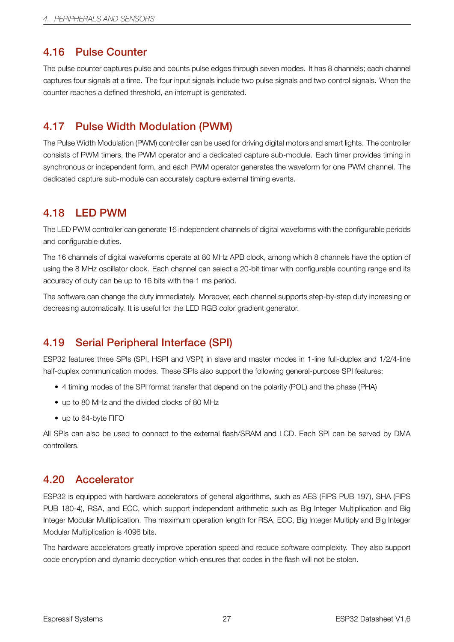### <span id="page-34-0"></span>4.16 Pulse Counter

The pulse counter captures pulse and counts pulse edges through seven modes. It has 8 channels; each channel captures four signals at a time. The four input signals include two pulse signals and two control signals. When the counter reaches a defined threshold, an interrupt is generated.

### <span id="page-34-1"></span>4.17 Pulse Width Modulation (PWM)

The Pulse Width Modulation (PWM) controller can be used for driving digital motors and smart lights. The controller consists of PWM timers, the PWM operator and a dedicated capture sub-module. Each timer provides timing in synchronous or independent form, and each PWM operator generates the waveform for one PWM channel. The dedicated capture sub-module can accurately capture external timing events.

### <span id="page-34-2"></span>4.18 LED PWM

The LED PWM controller can generate 16 independent channels of digital waveforms with the configurable periods and configurable duties.

The 16 channels of digital waveforms operate at 80 MHz APB clock, among which 8 channels have the option of using the 8 MHz oscillator clock. Each channel can select a 20-bit timer with configurable counting range and its accuracy of duty can be up to 16 bits with the 1 ms period.

The software can change the duty immediately. Moreover, each channel supports step-by-step duty increasing or decreasing automatically. It is useful for the LED RGB color gradient generator.

### <span id="page-34-3"></span>4.19 Serial Peripheral Interface (SPI)

ESP32 features three SPIs (SPI, HSPI and VSPI) in slave and master modes in 1-line full-duplex and 1/2/4-line half-duplex communication modes. These SPIs also support the following general-purpose SPI features:

- 4 timing modes of the SPI format transfer that depend on the polarity (POL) and the phase (PHA)
- up to 80 MHz and the divided clocks of 80 MHz
- up to 64-byte FIFO

All SPIs can also be used to connect to the external flash/SRAM and LCD. Each SPI can be served by DMA controllers.

### <span id="page-34-4"></span>4.20 Accelerator

ESP32 is equipped with hardware accelerators of general algorithms, such as AES (FIPS PUB 197), SHA (FIPS PUB 180-4), RSA, and ECC, which support independent arithmetic such as Big Integer Multiplication and Big Integer Modular Multiplication. The maximum operation length for RSA, ECC, Big Integer Multiply and Big Integer Modular Multiplication is 4096 bits.

The hardware accelerators greatly improve operation speed and reduce software complexity. They also support code encryption and dynamic decryptionwhich ensures that codes in the flash will not be stolen.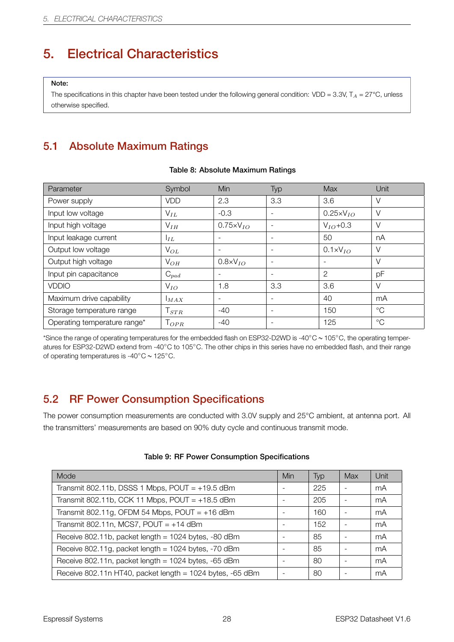# <span id="page-35-1"></span>5. Electrical Characteristics

#### Note:

The specifications in this chapter have been tested under the following general condition:  $VDD = 3.3V$ ,  $T_A = 27^{\circ}C$ , unless otherwise specified.

### <span id="page-35-2"></span>5.1 Absolute Maximum Ratings

<span id="page-35-0"></span>

| Parameter                    | Symbol       | <b>Min</b>               | Typ                      | Max                 | Unit        |
|------------------------------|--------------|--------------------------|--------------------------|---------------------|-------------|
| Power supply                 | <b>VDD</b>   | 2.3                      | 3.3                      | 3.6                 | $\vee$      |
| Input low voltage            | $V_{IL}$     | $-0.3$                   | $\overline{\phantom{a}}$ | $0.25 \times VIO$   | $\vee$      |
| Input high voltage           | $V_{IH}$     | $0.75 \times V_{IO}$     | $\overline{\phantom{0}}$ | $V_{IO}$ +0.3       | $\vee$      |
| Input leakage current        | $I_{IL}$     |                          | $\overline{\phantom{a}}$ | 50                  | nA          |
| Output low voltage           | $V_{OL}$     |                          |                          | $0.1 \times V_{IO}$ | $\vee$      |
| Output high voltage          | $V_{OH}$     | $0.8\times V_{IO}$       |                          |                     | $\vee$      |
| Input pin capacitance        | $C_{pad}$    |                          | $\overline{\phantom{a}}$ | 2                   | pF          |
| <b>VDDIO</b>                 | $V_{IO}$     | 1.8                      | 3.3                      | 3.6                 | $\vee$      |
| Maximum drive capability     | MAX          | $\overline{\phantom{a}}$ | $\overline{\phantom{a}}$ | 40                  | mA          |
| Storage temperature range    | $\mid_{STR}$ | $-40$                    | $\overline{\phantom{a}}$ | 150                 | $^{\circ}C$ |
| Operating temperature range* | $T_{OPR}$    | -40                      | ۰                        | 125                 | $^{\circ}C$ |

#### Table 8: Absolute Maximum Ratings

\*Since the range of operating temperatures for the embedded flash on ESP32-D2WD is -40*◦*C ~ 105*◦*C, the operating temperatures for ESP32-D2WD extend from -40*◦*C to 105*◦*C. The other chips in this series have no embedded flash, and their range of operating temperatures is -40*◦*C ~ 125*◦*C.

### <span id="page-35-3"></span>5.2 RF Power Consumption Specifications

The power consumption measurements are conducted with 3.0V supply and 25°C ambient, at antenna port. All the transmitters' measurements are based on 90% duty cycle and continuous transmit mode.

<span id="page-35-5"></span><span id="page-35-4"></span>

| Mode                                                          | Min | Typ | Max | Unit |
|---------------------------------------------------------------|-----|-----|-----|------|
| Transmit 802.11b, DSSS 1 Mbps, $POUT = +19.5$ dBm             |     | 225 |     | mA   |
| Transmit 802.11b, CCK 11 Mbps, $POUT = +18.5$ dBm             |     | 205 |     | mA   |
| Transmit 802.11g, OFDM 54 Mbps, POUT = $+16$ dBm              |     | 160 |     | mA   |
| Transmit 802.11n, MCS7, POUT = $+14$ dBm                      |     | 152 |     | mA   |
| Receive 802.11b, packet length = 1024 bytes, -80 dBm          |     | 85  |     | mA   |
| Receive 802.11g, packet length = $1024$ bytes, -70 dBm        |     | 85  |     | mA   |
| Receive 802.11n, packet length = 1024 bytes, -65 dBm          |     | 80  |     | mA   |
| Receive 802.11n HT40, packet length = $1024$ bytes, $-65$ dBm |     | 80  |     | mA   |

#### Table 9: RF Power Consumption Specifications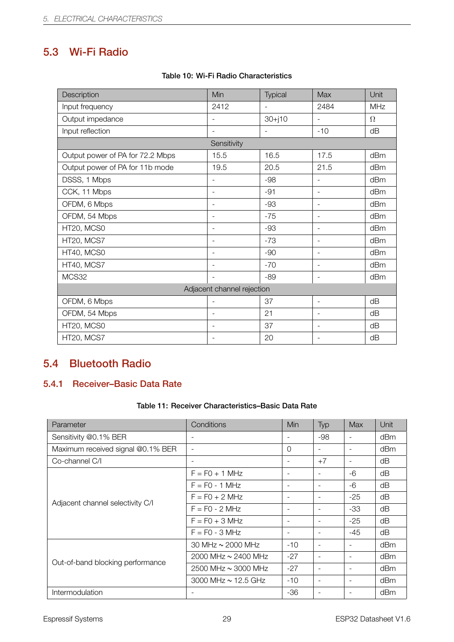### 5.3 Wi-Fi Radio

<span id="page-36-2"></span>

| Description                      | Min                        | Typical                  | Max                      | Unit     |  |  |  |  |
|----------------------------------|----------------------------|--------------------------|--------------------------|----------|--|--|--|--|
| Input frequency                  | 2412                       |                          | 2484                     | MHz      |  |  |  |  |
| Output impedance                 | $\overline{\phantom{m}}$   | $30+j10$                 | L.                       | $\Omega$ |  |  |  |  |
| Input reflection                 |                            | $\overline{\phantom{a}}$ | $-10$                    | dB       |  |  |  |  |
|                                  | Sensitivity                |                          |                          |          |  |  |  |  |
| Output power of PA for 72.2 Mbps | 15.5                       | 16.5                     | 17.5                     | dBm      |  |  |  |  |
| Output power of PA for 11b mode  | 19.5                       | 20.5                     | 21.5                     | dBm      |  |  |  |  |
| DSSS, 1 Mbps                     | $\overline{\phantom{a}}$   | $-98$                    |                          | dBm      |  |  |  |  |
| CCK, 11 Mbps                     | $\overline{\phantom{m}}$   | $-91$                    | $\overline{\phantom{a}}$ | dBm      |  |  |  |  |
| OFDM, 6 Mbps                     | $\overline{\phantom{a}}$   | $-93$                    | $\overline{\phantom{a}}$ | dBm      |  |  |  |  |
| OFDM, 54 Mbps                    | $\overline{\phantom{m}}$   | $-75$                    | $\overline{\phantom{a}}$ | dBm      |  |  |  |  |
| HT20, MCS0                       | $\overline{\phantom{0}}$   | $-93$                    |                          | dBm      |  |  |  |  |
| HT20, MCS7                       | $\overline{\phantom{a}}$   | $-73$                    | $\overline{\phantom{a}}$ | dBm      |  |  |  |  |
| HT40, MCS0                       | $\overline{\phantom{0}}$   | $-90$                    | $\overline{\phantom{a}}$ | dBm      |  |  |  |  |
| HT40, MCS7                       | $\overline{\phantom{a}}$   | $-70$                    | $\overline{\phantom{a}}$ | dBm      |  |  |  |  |
| MCS32                            |                            | $-89$                    | $\equiv$                 | dBm      |  |  |  |  |
|                                  | Adjacent channel rejection |                          |                          |          |  |  |  |  |
| OFDM, 6 Mbps                     | ÷                          | 37                       | $\overline{\phantom{a}}$ | dB       |  |  |  |  |
| OFDM, 54 Mbps                    | $\overline{\phantom{a}}$   | 21                       | $\overline{\phantom{a}}$ | dB       |  |  |  |  |
| HT20, MCS0                       |                            | 37                       | $\overline{\phantom{a}}$ | dB       |  |  |  |  |
| HT20, MCS7                       | $\overline{\phantom{a}}$   | 20                       | $\overline{\phantom{a}}$ | dΒ       |  |  |  |  |

#### Table 10: Wi-Fi Radio Characteristics

### <span id="page-36-0"></span>5.4 Bluetooth Radio

### <span id="page-36-1"></span>5.4.1 Receiver–Basic Data Rate

#### Table 11: Receiver Characteristics–Basic Data Rate

<span id="page-36-3"></span>

| Parameter                         | Conditions               | Min                      | Typ                      | Max                      | Unit |
|-----------------------------------|--------------------------|--------------------------|--------------------------|--------------------------|------|
| Sensitivity @0.1% BER             |                          |                          | $-98$                    |                          | dBm  |
| Maximum received signal @0.1% BER | $\overline{\phantom{a}}$ | $\Omega$                 | $\overline{\phantom{a}}$ |                          | dBm  |
| Co-channel C/I                    | $\overline{\phantom{a}}$ |                          | $+7$                     |                          | dB   |
|                                   | $F = FO + 1 MHz$         | $\overline{\phantom{a}}$ | $\overline{\phantom{a}}$ | -6                       | dΒ   |
|                                   | $F = FO - 1 MHz$         | $\qquad \qquad -$        | $\overline{\phantom{a}}$ | -6                       | dB   |
|                                   | $F = FO + 2 MHz$         | $\overline{\phantom{a}}$ | $\overline{\phantom{a}}$ | $-25$                    | dB   |
| Adjacent channel selectivity C/I  | $F = FO - 2 MHz$         | $\overline{\phantom{0}}$ | $\blacksquare$           | $-33$                    | dB   |
|                                   | $F = FO + 3 MHz$         | $\overline{\phantom{a}}$ | $\blacksquare$           | $-25$                    | dB   |
|                                   | $F = FO - 3 MHz$         | $\qquad \qquad -$        | $\blacksquare$           | $-45$                    | dΒ   |
|                                   | 30 MHz $\sim$ 2000 MHz   | $-10$                    | $\overline{\phantom{a}}$ |                          | dBm  |
| Out-of-band blocking performance  | 2000 MHz ~ 2400 MHz      | $-27$                    | $\sim$                   |                          | dBm  |
|                                   | 2500 MHz ~ 3000 MHz      | $-27$                    | $\overline{\phantom{a}}$ | $\overline{\phantom{a}}$ | dBm  |
|                                   | 3000 MHz $\sim$ 12.5 GHz | $-10$                    | $\overline{\phantom{a}}$ | $\overline{\phantom{a}}$ | dBm  |
| Intermodulation                   |                          | $-36$                    | $\overline{\phantom{a}}$ |                          | dBm  |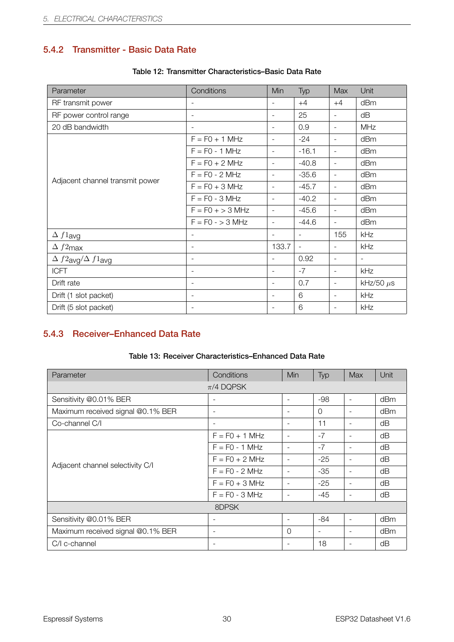### <span id="page-37-0"></span>5.4.2 Transmitter - Basic Data Rate

<span id="page-37-2"></span>

| Parameter                        | Conditions               | Min                      | Typ                      | <b>Max</b>               | Unit                     |
|----------------------------------|--------------------------|--------------------------|--------------------------|--------------------------|--------------------------|
| RF transmit power                | $\overline{\phantom{a}}$ | $\overline{\phantom{a}}$ | $+4$                     | $+4$                     | dBm                      |
| RF power control range           | $\overline{\phantom{a}}$ | $\overline{\phantom{a}}$ | 25                       | $\overline{\phantom{a}}$ | dB                       |
| 20 dB bandwidth                  | $\blacksquare$           | $\blacksquare$           | 0.9                      | $\overline{\phantom{a}}$ | <b>MHz</b>               |
|                                  | $F = F0 + 1$ MHz         | $\overline{\phantom{a}}$ | $-24$                    | $\overline{\phantom{a}}$ | dBm                      |
|                                  | $F = F0 - 1 MHz$         | $\overline{\phantom{a}}$ | $-16.1$                  | $\overline{\phantom{a}}$ | dBm                      |
|                                  | $F = F0 + 2 MHz$         | $\overline{\phantom{a}}$ | $-40.8$                  | $\overline{\phantom{a}}$ | dBm                      |
| Adjacent channel transmit power  | $F = F0 - 2 MHz$         | $\overline{\phantom{a}}$ | $-35.6$                  | $\blacksquare$           | dBm                      |
|                                  | $F = F0 + 3 MHz$         | $\overline{\phantom{a}}$ | $-45.7$                  | $\blacksquare$           | dBm                      |
|                                  | $F = F0 - 3 MHz$         | $\overline{\phantom{a}}$ | $-40.2$                  | $\blacksquare$           | dBm                      |
|                                  | $F = F0 + > 3$ MHz       | $\blacksquare$           | $-45.6$                  | $\overline{\phantom{a}}$ | dBm                      |
|                                  | $F = F0 - 3 MHz$         | $\overline{\phantom{a}}$ | $-44.6$                  | $\overline{\phantom{a}}$ | dBm                      |
| $\Delta f1$ avg                  | $\blacksquare$           | $\overline{\phantom{a}}$ | $\blacksquare$           | 155                      | kHz                      |
| $\Delta f2$ max                  | $\overline{\phantom{a}}$ | 133.7                    | $\overline{\phantom{a}}$ | $\blacksquare$           | kHz                      |
| $\Delta f2$ avg $/\Delta f1$ avg | $\overline{\phantom{a}}$ | $\blacksquare$           | 0.92                     | $\blacksquare$           | $\overline{\phantom{a}}$ |
| <b>ICFT</b>                      | $\overline{\phantom{a}}$ | $\overline{\phantom{a}}$ | $-7$                     | $\overline{\phantom{a}}$ | kHz                      |
| Drift rate                       | $\overline{\phantom{a}}$ | $\overline{\phantom{a}}$ | 0.7                      | $\overline{\phantom{a}}$ | kHz/50 $\mu$ s           |
| Drift (1 slot packet)            | $\overline{\phantom{a}}$ | $\blacksquare$           | 6                        | $\overline{\phantom{a}}$ | kHz                      |
| Drift (5 slot packet)            | $\overline{\phantom{a}}$ | $\overline{\phantom{a}}$ | 6                        | $\overline{\phantom{a}}$ | kHz                      |

#### Table 12: Transmitter Characteristics–Basic Data Rate

### <span id="page-37-1"></span>5.4.3 Receiver–Enhanced Data Rate

|  | Table 13: Receiver Characteristics-Enhanced Data Rate |  |
|--|-------------------------------------------------------|--|
|  |                                                       |  |

<span id="page-37-3"></span>

| Parameter                         | Conditions               | <b>Min</b>               | Typ                      | <b>Max</b>               | Unit |
|-----------------------------------|--------------------------|--------------------------|--------------------------|--------------------------|------|
|                                   | $\pi$ /4 DQPSK           |                          |                          |                          |      |
| Sensitivity @0.01% BER            | $\overline{\phantom{0}}$ | $\overline{\phantom{a}}$ | $-98$                    | $\equiv$                 | dBm  |
| Maximum received signal @0.1% BER | ٠                        | $\overline{\phantom{a}}$ | $\Omega$                 |                          | dBm  |
| Co-channel C/I                    | $\overline{\phantom{a}}$ | $\overline{\phantom{a}}$ | 11                       |                          | dB   |
|                                   | $F = FO + 1 MHz$         | $\overline{\phantom{a}}$ | $-7$                     |                          | dB   |
|                                   | $F = F0 - 1 MHz$         | $\overline{\phantom{a}}$ | $-7$                     | $\blacksquare$           | dB   |
| Adjacent channel selectivity C/I  | $F = FO + 2 MHz$         | $\overline{\phantom{a}}$ | $-25$                    |                          | dΒ   |
|                                   | $F = FO - 2 MHz$         | $\overline{\phantom{a}}$ | $-35$                    | $\overline{\phantom{a}}$ | dB   |
|                                   | $F = FO + 3 MHz$         | $\overline{\phantom{a}}$ | $-25$                    | $\overline{\phantom{a}}$ | dB   |
|                                   | $F = F0 - 3 MHz$         | $\overline{\phantom{a}}$ | $-45$                    | $\overline{\phantom{a}}$ | dB   |
|                                   | 8DPSK                    |                          |                          |                          |      |
| Sensitivity @0.01% BER            | $\overline{\phantom{a}}$ | $\overline{\phantom{a}}$ | $-84$                    |                          | dBm  |
| Maximum received signal @0.1% BER | ٠                        | $\Omega$                 | $\overline{\phantom{a}}$ |                          | dBm  |
| C/I c-channel                     | ٠                        |                          | 18                       |                          | dΒ   |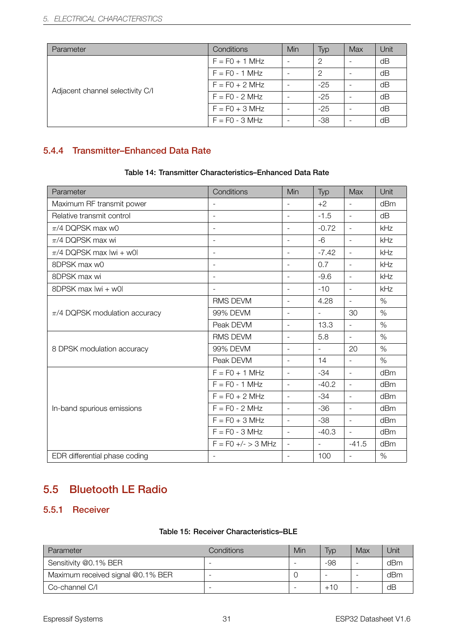| Parameter                        | Conditions       | Min                      | Typ   | Max | Unit |
|----------------------------------|------------------|--------------------------|-------|-----|------|
|                                  | $F = FO + 1 MHz$ | $\overline{\phantom{0}}$ | 2     |     | dB   |
|                                  | $F = F0 - 1 MHz$ |                          | 2     |     | dB   |
| Adjacent channel selectivity C/I | $F = F0 + 2 MHz$ |                          | $-25$ |     | dB   |
|                                  | $F = F0 - 2 MHz$ |                          | $-25$ |     | dB   |
|                                  | $F = F0 + 3 MHz$ | -                        | $-25$ |     | dB   |
|                                  | $F = FO - 3 MHz$ | -                        | $-38$ |     | dB   |

### <span id="page-38-0"></span>5.4.4 Transmitter–Enhanced Data Rate

#### Table 14: Transmitter Characteristics–Enhanced Data Rate

<span id="page-38-3"></span>

| Parameter                         | Conditions               | Min                      | Typ           | <b>Max</b>               | Unit |
|-----------------------------------|--------------------------|--------------------------|---------------|--------------------------|------|
| Maximum RF transmit power         |                          | $\blacksquare$           | $+2$          | $\equiv$                 | dBm  |
| Relative transmit control         | $\overline{\phantom{a}}$ | $\overline{\phantom{a}}$ | $-1.5$        | $\equiv$                 | dB   |
| $\pi$ /4 DQPSK max w0             | $\overline{\phantom{a}}$ | $\overline{\phantom{a}}$ | $-0.72$       | $\equiv$                 | kHz  |
| $\pi$ /4 DQPSK max wi             | $\overline{\phantom{a}}$ | $\overline{\phantom{a}}$ | $-6$          | $\overline{\phantom{a}}$ | kHz  |
| $\pi$ /4 DQPSK max lwi + w0l      | $\blacksquare$           | $\equiv$                 | $-7.42$       | $\equiv$                 | kHz  |
| 8DPSK max w0                      | $\blacksquare$           | $\blacksquare$           | 0.7           | $\overline{\phantom{a}}$ | kHz  |
| 8DPSK max wi                      |                          | $\overline{\phantom{a}}$ | $-9.6$        | $\overline{\phantom{a}}$ | kHz  |
| 8DPSK max lwi + w0l               | $\sim$                   | $\blacksquare$           | $-10$         | $\equiv$                 | kHz  |
|                                   | RMS DEVM                 | $\equiv$                 | 4.28          | $\blacksquare$           | $\%$ |
| $\pi/4$ DQPSK modulation accuracy | 99% DEVM                 | $\blacksquare$           | $\equiv$      | 30                       | $\%$ |
|                                   | Peak DEVM                | $\overline{\phantom{a}}$ | 13.3          | $\equiv$                 | $\%$ |
|                                   | RMS DEVM                 | $\overline{\phantom{a}}$ | 5.8           | $\sim$                   | $\%$ |
| 8 DPSK modulation accuracy        | 99% DEVM                 | $\equiv$                 | $\mathcal{L}$ | 20                       | $\%$ |
|                                   | Peak DEVM                | $\blacksquare$           | 14            | $\mathbb{L}^+$           | $\%$ |
|                                   | $F = F0 + 1$ MHz         | $\blacksquare$           | $-34$         | $\equiv$                 | dBm  |
|                                   | $F = F0 - 1$ MHz         | $\overline{\phantom{a}}$ | $-40.2$       | $\overline{\phantom{a}}$ | dBm  |
|                                   | $F = F0 + 2 MHz$         | $\overline{\phantom{a}}$ | $-34$         | $\overline{\phantom{a}}$ | dBm  |
| In-band spurious emissions        | $F = F0 - 2 MHz$         | $\equiv$                 | $-36$         | $\equiv$                 | dBm  |
|                                   | $F = F0 + 3 MHz$         | $\blacksquare$           | $-38$         | $\overline{\phantom{a}}$ | dBm  |
|                                   | $F = F0 - 3 MHz$         | $\overline{\phantom{a}}$ | $-40.3$       | $\equiv$                 | dBm  |
|                                   | $F = F0 +/- > 3$ MHz     | $\overline{\phantom{a}}$ | $\mathcal{L}$ | $-41.5$                  | dBm  |
| EDR differential phase coding     | $\overline{\phantom{a}}$ | $\overline{\phantom{a}}$ | 100           | $\overline{\phantom{a}}$ | $\%$ |

### <span id="page-38-1"></span>5.5 Bluetooth LE Radio

### <span id="page-38-2"></span>5.5.1 Receiver

#### Table 15: Receiver Characteristics–BLE

<span id="page-38-4"></span>

| Parameter                         | Conditions | Min | Typ   | Max | Unit |
|-----------------------------------|------------|-----|-------|-----|------|
| Sensitivity @0.1% BER             |            |     | -98   |     | dBm  |
| Maximum received signal @0.1% BER |            |     |       | -   | dBm  |
| Co-channel C/I                    |            |     | $+10$ |     | dB   |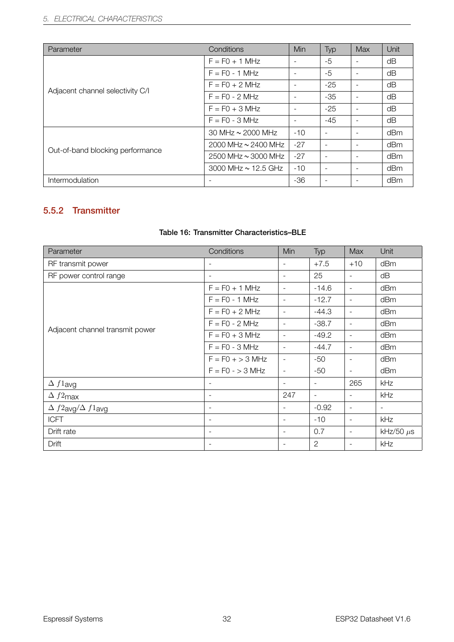| Parameter                        | Conditions                 | Min                      | Typ   | Max                      | Unit |
|----------------------------------|----------------------------|--------------------------|-------|--------------------------|------|
|                                  | $F = F0 + 1$ MHz           | $\overline{\phantom{a}}$ | $-5$  |                          | dΒ   |
|                                  | $F = F0 - 1 MHz$           | $\overline{\phantom{a}}$ | $-5$  | $\overline{\phantom{a}}$ | dΒ   |
|                                  | $F = FO + 2 MHz$           |                          | $-25$ |                          | dB   |
| Adjacent channel selectivity C/I | $F = F0 - 2 MHz$           |                          | $-35$ |                          | dΒ   |
|                                  | $F = FO + 3 MHz$           |                          | $-25$ |                          | dΒ   |
|                                  | $F = F0 - 3 MHz$           |                          | $-45$ |                          | dB   |
|                                  | 30 MHz $\sim$ 2000 MHz     | $-10$                    |       |                          | dBm  |
| Out-of-band blocking performance | 2000 MHz $\sim$ 2400 MHz   | $-27$                    |       |                          | dBm  |
|                                  | $2500$ MHz $\sim$ 3000 MHz | $-27$                    |       |                          | dBm  |
|                                  | 3000 MHz $\sim$ 12.5 GHz   | $-10$                    |       |                          | dBm  |
| Intermodulation                  | $\overline{\phantom{a}}$   | $-36$                    |       |                          | dBm  |

### <span id="page-39-0"></span>5.5.2 Transmitter

<span id="page-39-1"></span>

| Parameter                        | Conditions               | Min                      | Typ                      | Max                      | Unit                     |
|----------------------------------|--------------------------|--------------------------|--------------------------|--------------------------|--------------------------|
| RF transmit power                | $\overline{\phantom{a}}$ | -                        | $+7.5$                   | $+10$                    | dBm                      |
| RF power control range           | $\overline{\phantom{a}}$ | $\blacksquare$           | 25                       | $\overline{\phantom{a}}$ | dB                       |
|                                  | $F = F0 + 1$ MHz         | $\overline{\phantom{a}}$ | $-14.6$                  | $\overline{\phantom{a}}$ | dBm                      |
| Adjacent channel transmit power  | $F = FO - 1 MHz$         | $\overline{\phantom{a}}$ | $-12.7$                  | $\overline{\phantom{a}}$ | dBm                      |
|                                  | $F = F0 + 2 MHz$         | $\overline{\phantom{a}}$ | $-44.3$                  | $\overline{\phantom{a}}$ | dBm                      |
|                                  | $F = F0 - 2 MHz$         | $\overline{\phantom{a}}$ | $-38.7$                  | $\overline{\phantom{a}}$ | dBm                      |
|                                  | $F = F0 + 3 MHz$         | $\overline{\phantom{a}}$ | $-49.2$                  | $\overline{\phantom{a}}$ | dBm                      |
|                                  | $F = F0 - 3 MHz$         | $\overline{\phantom{a}}$ | $-44.7$                  | $\overline{\phantom{a}}$ | dBm                      |
|                                  | $F = FO + > 3 MHz$       | $\overline{\phantom{a}}$ | $-50$                    | $\overline{\phantom{a}}$ | dBm                      |
|                                  | $F = F0 - 3 MHz$         | $\overline{\phantom{a}}$ | -50                      | $\overline{\phantom{a}}$ | dBm                      |
| $\Delta f1$ avg                  | $\overline{\phantom{a}}$ | $\blacksquare$           | $\overline{\phantom{a}}$ | 265                      | <b>kHz</b>               |
| $\Delta f2$ max                  |                          | 247                      | $\overline{\phantom{a}}$ | $\overline{\phantom{a}}$ | kHz                      |
| $\Delta f2$ avg $/\Delta f1$ avg | $\overline{\phantom{a}}$ | $\overline{\phantom{a}}$ | $-0.92$                  | $\overline{\phantom{a}}$ | $\overline{\phantom{a}}$ |
| <b>ICFT</b>                      | $\overline{\phantom{a}}$ | $\blacksquare$           | $-10$                    | $\blacksquare$           | kHz                      |
| Drift rate                       | $\overline{\phantom{a}}$ | $\overline{\phantom{a}}$ | 0.7                      | $\overline{\phantom{a}}$ | kHz/50 $\mu$ s           |
| Drift                            |                          | $\overline{\phantom{a}}$ | $\overline{2}$           | $\overline{\phantom{a}}$ | kHz                      |

#### Table 16: Transmitter Characteristics–BLE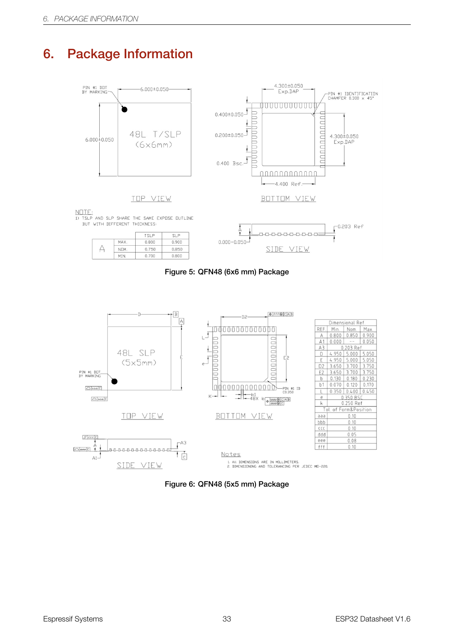# <span id="page-40-1"></span><span id="page-40-0"></span>6. Package Information



 $\frac{\text{NOTE:}}{\text{13 TSLP}$  and slp share the same expose outline<br>but with different thickness.

|      | TSI P | $\Gamma$ |
|------|-------|----------|
| MAX. | 0.800 | 0.900    |
| NOM. | 0.750 | 0.850    |
| MIN. | 0.700 | 0.800    |





<span id="page-40-2"></span>

Figure 6: QFN48 (5x5 mm) Package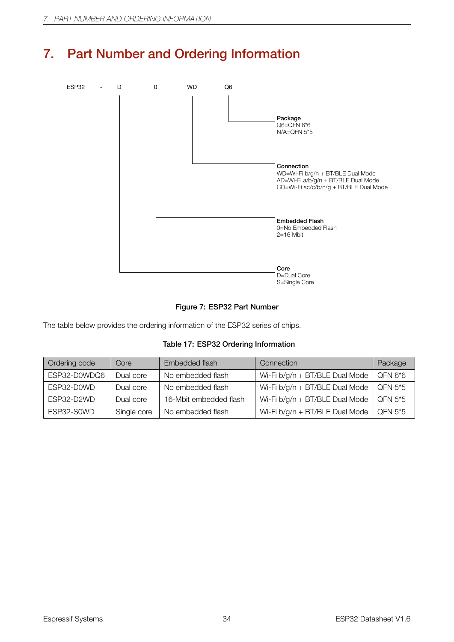# <span id="page-41-0"></span>7. Part Number and Ordering Information

<span id="page-41-2"></span>

#### Figure 7: ESP32 Part Number

<span id="page-41-1"></span>The table below provides the ordering information of the ESP32 series of chips.

|  |  |  | Table 17: ESP32 Ordering Information |
|--|--|--|--------------------------------------|
|--|--|--|--------------------------------------|

| Ordering code | Core        | Embedded flash         | Connection                       | Package |
|---------------|-------------|------------------------|----------------------------------|---------|
| ESP32-D0WDQ6  | Dual core   | No embedded flash      | Wi-Fi b/g/n + BT/BLE Dual Mode   | QFN 6*6 |
| ESP32-D0WD    | Dual core   | No embedded flash      | Wi-Fi $b/q/n$ + BT/BLE Dual Mode | QFN 5*5 |
| FSP32-D2WD    | Dual core   | 16-Mbit embedded flash | Wi-Fi $b/g/n + BT/BLE$ Dual Mode | QFN 5*5 |
| ESP32-S0WD    | Single core | No embedded flash      | Wi-Fi b/g/n + BT/BLE Dual Mode   | QFN 5*5 |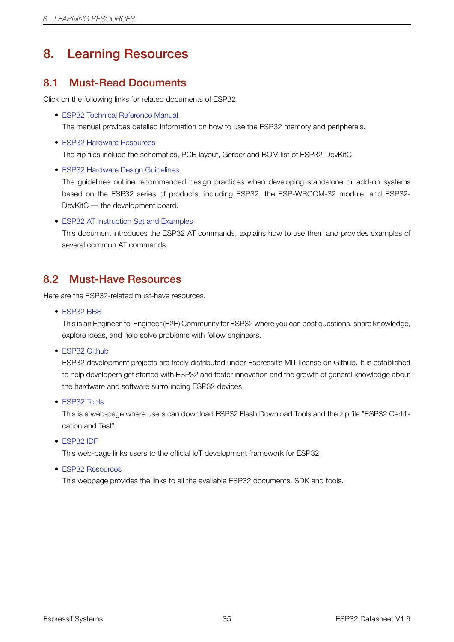# 8. Learning Resources

### <span id="page-42-0"></span>8.1 Must-Read Documents

Click on the following links for related documents of ESP32.

<span id="page-42-1"></span>• ESP32 Technical Reference Manual

The manual provides detailed information on how to use the ESP32 memory and peripherals.

- ESP32 Hardware Resources [The zip files include the schematics,](http://espressif.com/sites/default/files/documentation/esp32_technical_reference_manual_en.pdf) PCB layout, Gerber and BOM list of ESP32-DevKitC.
- ESP32 Hardware Design Guidelines

[The guidelines outline recom](http://espressif.com/en/support/download/documents?keys=reference+design&field_type_tid%5B%5D=13)mended design practices when developing standalone or add-on systems based on the ESP32 series of products, including ESP32, the ESP-WROOM-32 module, and ESP32- [DevKitC — the development board.](http://espressif.com/sites/default/files/documentation/esp32_hardware_design_guidelines_en.pdf)

• ESP32 AT Instruction Set and Examples

This document introduces the ESP32 AT commands, explains how to use them and provides examples of several common AT commands.

### 8.2 Must-Have Resources

<span id="page-42-2"></span>Here are the ESP32-related must-have resources.

• ESP32 BBS

This is an Engineer-to-Engineer (E2E) Community for ESP32 where you can post questions, share knowledge, explore ideas, and help solve problems with fellow engineers.

• [ESP32 Githu](https://www.esp32.com)b

ESP32 development projects are freely distributed under Espressif's MIT license on Github. It is established to help developers get started with ESP32 and foster innovation and the growth of general knowledge about [the hardware a](https://github.com/espressif)nd software surrounding ESP32 devices.

• ESP32 Tools

This is a web-page where users can download ESP32 Flash Download Tools and the zip file "ESP32 Certification and Test".

• [ESP32 IDF](http://www.espressif.com/en/support/download/other-tools?keys=&field_type_tid%5B%5D=13)

This web-page links users to the official IoT development framework for ESP32.

• ESP32 Resources

[This webpa](http://www.espressif.com/en/support/download/sdks-demos?keys=&field_type_tid%5B%5D=13)ge provides the links to all the available ESP32 documents, SDK and tools.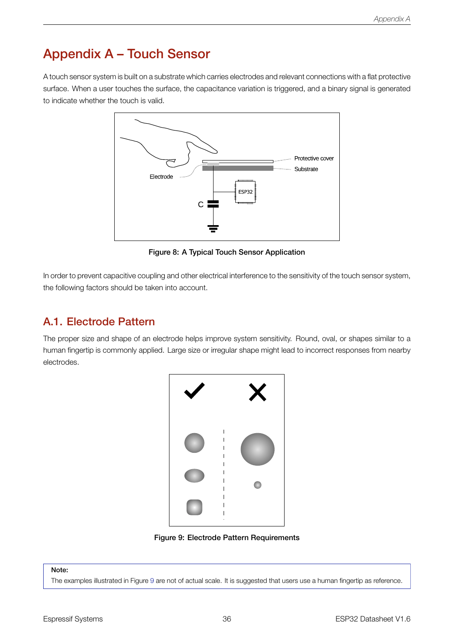# Appendix A – Touch Sensor

<span id="page-43-0"></span>A touch sensor system is built on a substrate which carries electrodes and relevant connections with a flat protective surface. When a user touches the surface, the capacitance variation is triggered, and a binary signal is generated to indicate whether the touch is valid.



Figure 8: A Typical Touch Sensor Application

In order to prevent capacitive coupling and other electrical interference to the sensitivity of the touch sensor system, the following factors should be taken into account.

### A.1. Electrode Pattern

<span id="page-43-1"></span>The proper size and shape of an electrode helps improve system sensitivity. Round, oval, or shapes similar to a human fingertip is commonly applied. Large size or irregular shape might lead to incorrect responses from nearby electrodes.



Figure 9: Electrode Pattern Requirements

#### Note:

The examples illustrated in Figure 9 are not of actual scale. It is suggested that users use a human fingertip as reference.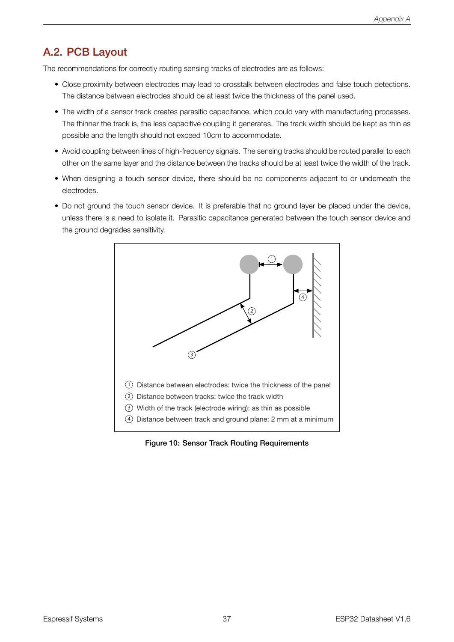### A.2. PCB Layout

The recommendations for correctly routing sensing tracks of electrodes are as follows:

- Close proximity between electrodes may lead to crosstalk between electrodes and false touch detections. The distance between electrodes should be at least twice the thickness of the panel used.
- The width of a sensor track creates parasitic capacitance, which could vary with manufacturing processes. The thinner the track is, the less capacitive coupling it generates. The track width should be kept as thin as possible and the length should not exceed 10cm to accommodate.
- Avoid coupling between lines of high-frequency signals. The sensing tracks should be routed parallel to each other on the same layer and the distance between the tracks should be at least twice the width of the track.
- When designing a touch sensor device, there should be no components adjacent to or underneath the electrodes.
- <span id="page-44-0"></span>• Do not ground the touch sensor device. It is preferable that no ground layer be placed under the device, unless there is a need to isolate it. Parasitic capacitance generated between the touch sensor device and the ground degrades sensitivity.



Figure 10: Sensor Track Routing Requirements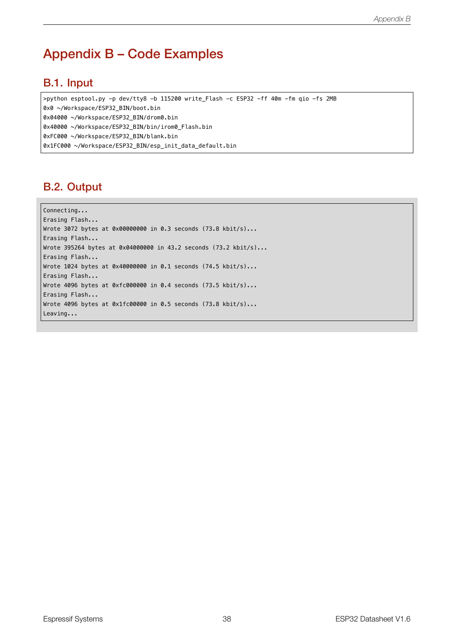# Appendix B – Code Examples

### <span id="page-45-0"></span>B.1. Input

>python esptool.py -p dev/tty8 -b 115200 write\_Flash -c ESP32 -ff 40m -fm qio -fs 2MB

0x0 ~/Workspace/ESP32\_BIN/boot.bin

0x04000 ~/Workspace/ESP32\_BIN/drom0.bin

0x40000 ~/Workspace/ESP32\_BIN/bin/irom0\_Flash.bin

```
0xFC000 ~/Workspace/ESP32_BIN/blank.bin
```
<span id="page-45-1"></span>0x1FC000 ~/Workspace/ESP32\_BIN/esp\_init\_data\_default.bin

### B.2. Output

<span id="page-45-2"></span>Connecting... Erasing Flash... Wrote 3072 bytes at 0x00000000 in 0.3 seconds (73.8 kbit/s)... Erasing Flash... Wrote 395264 bytes at 0x04000000 in 43.2 seconds (73.2 kbit/s)... Erasing Flash... Wrote 1024 bytes at 0x40000000 in 0.1 seconds (74.5 kbit/s)... Erasing Flash... Wrote 4096 bytes at 0xfc000000 in 0.4 seconds (73.5 kbit/s)... Erasing Flash... Wrote 4096 bytes at 0x1fc00000 in 0.5 seconds (73.8 kbit/s)... Leaving...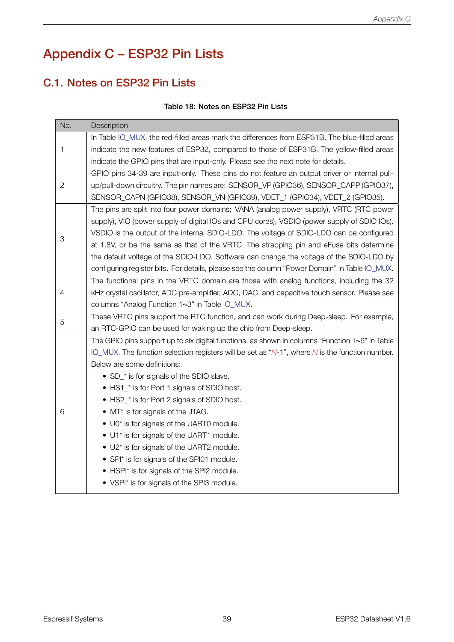# Appendix C – ESP32 Pin Lists

### C.1. Notes on ESP32 Pin Lists

#### Table 18: Notes on ESP32 Pin Lists

<span id="page-46-1"></span><span id="page-46-0"></span>

| No.          | Description                                                                                        |  |  |  |  |
|--------------|----------------------------------------------------------------------------------------------------|--|--|--|--|
|              | In Table IO_MUX, the red-filled areas mark the differences from ESP31B. The blue-filled areas      |  |  |  |  |
| 1            | indicate the new features of ESP32, compared to those of ESP31B. The yellow-filled areas           |  |  |  |  |
|              | indicate the GPIO pins that are input-only. Please see the next note for details.                  |  |  |  |  |
|              | GPIO pins 34-39 are input-only. These pins do not feature an output driver or internal pull-       |  |  |  |  |
| $\mathbf{2}$ | up/pull-down circuitry. The pin names are: SENSOR_VP (GPIO36), SENSOR_CAPP (GPIO37),               |  |  |  |  |
|              | SENSOR_CAPN (GPIO38), SENSOR_VN (GPIO39), VDET_1 (GPIO34), VDET_2 (GPIO35).                        |  |  |  |  |
|              | The pins are split into four power domains: VANA (analog power supply), VRTC (RTC power            |  |  |  |  |
|              | supply), VIO (power supply of digital IOs and CPU cores), VSDIO (power supply of SDIO IOs).        |  |  |  |  |
| 3            | VSDIO is the output of the internal SDIO-LDO. The voltage of SDIO-LDO can be configured            |  |  |  |  |
|              | at 1.8V, or be the same as that of the VRTC. The strapping pin and eFuse bits determine            |  |  |  |  |
|              | the default voltage of the SDIO-LDO. Software can change the voltage of the SDIO-LDO by            |  |  |  |  |
|              | configuring register bits. For details, please see the column "Power Domain" in Table IO_MUX.      |  |  |  |  |
|              | The functional pins in the VRTC domain are those with analog functions, including the 32           |  |  |  |  |
| 4            | kHz crystal oscillator, ADC pre-amplifier, ADC, DAC, and capacitive touch sensor. Please see       |  |  |  |  |
|              | columns "Analog Function 1~3" in Table IO_MUX.                                                     |  |  |  |  |
| 5            | These VRTC pins support the RTC function, and can work during Deep-sleep. For example,             |  |  |  |  |
|              | an RTC-GPIO can be used for waking up the chip from Deep-sleep.                                    |  |  |  |  |
|              | The GPIO pins support up to six digital functions, as shown in columns "Function 1~6" In Table     |  |  |  |  |
|              | IO_MUX. The function selection registers will be set as " $N-1$ ", where N is the function number. |  |  |  |  |
|              | Below are some definitions:                                                                        |  |  |  |  |
|              | • SD_* is for signals of the SDIO slave.                                                           |  |  |  |  |
|              | • HS1_* is for Port 1 signals of SDIO host.                                                        |  |  |  |  |
|              | • HS2_* is for Port 2 signals of SDIO host.                                                        |  |  |  |  |
| 6            | $\bullet$ MT* is for signals of the JTAG.                                                          |  |  |  |  |
|              | • U0* is for signals of the UART0 module.                                                          |  |  |  |  |
|              | • U1* is for signals of the UART1 module.                                                          |  |  |  |  |
|              | • U2* is for signals of the UART2 module.                                                          |  |  |  |  |
|              | • SPI* is for signals of the SPI01 module.                                                         |  |  |  |  |
|              | • HSPI* is for signals of the SPI2 module.                                                         |  |  |  |  |
|              | • VSPI* is for signals of the SPI3 module.                                                         |  |  |  |  |
|              |                                                                                                    |  |  |  |  |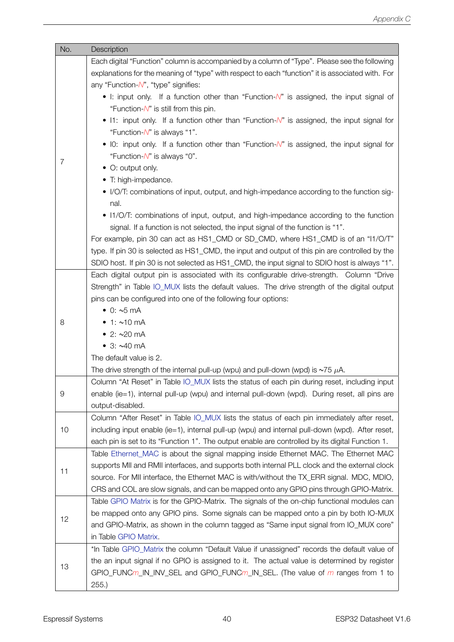| No.        | Description                                                                                       |
|------------|---------------------------------------------------------------------------------------------------|
|            | Each digital "Function" column is accompanied by a column of "Type". Please see the following     |
|            | explanations for the meaning of "type" with respect to each "function" it is associated with. For |
|            | any "Function-N", "type" signifies:                                                               |
|            | • I: input only. If a function other than "Function-N" is assigned, the input signal of           |
|            | "Function- $N$ " is still from this pin.                                                          |
|            | • I1: input only. If a function other than "Function-N" is assigned, the input signal for         |
|            | "Function-N" is always "1".                                                                       |
|            | • IO: input only. If a function other than "Function-N" is assigned, the input signal for         |
|            | "Function-N" is always "0".                                                                       |
| 7          | • O: output only.                                                                                 |
|            | • T: high-impedance.                                                                              |
|            | • I/O/T: combinations of input, output, and high-impedance according to the function sig-         |
|            | nal.                                                                                              |
|            | • I1/O/T: combinations of input, output, and high-impedance according to the function             |
|            | signal. If a function is not selected, the input signal of the function is "1".                   |
|            | For example, pin 30 can act as HS1_CMD or SD_CMD, where HS1_CMD is of an "I1/O/T"                 |
|            | type. If pin 30 is selected as HS1_CMD, the input and output of this pin are controlled by the    |
|            | SDIO host. If pin 30 is not selected as HS1_CMD, the input signal to SDIO host is always "1".     |
|            | Each digital output pin is associated with its configurable drive-strength. Column "Drive         |
|            | Strength" in Table IO_MUX lists the default values. The drive strength of the digital output      |
|            | pins can be configured into one of the following four options:                                    |
|            | $\bullet$ 0: $\sim$ 5 mA                                                                          |
| 8          | • 1: $~10 \text{ mA}$                                                                             |
|            | • 2: $\sim$ 20 mA                                                                                 |
|            | • $3: ~40 mA$                                                                                     |
|            | The default value is 2.                                                                           |
|            | The drive strength of the internal pull-up (wpu) and pull-down (wpd) is $\sim$ 75 $\mu$ A.        |
|            | Column "At Reset" in Table IO_MUX lists the status of each pin during reset, including input      |
| $\hbox{9}$ | enable (ie=1), internal pull-up (wpu) and internal pull-down (wpd). During reset, all pins are    |
|            | output-disabled.                                                                                  |
|            | Column "After Reset" in Table IO_MUX lists the status of each pin immediately after reset,        |
| 10         | including input enable (ie=1), internal pull-up (wpu) and internal pull-down (wpd). After reset,  |
|            | each pin is set to its "Function 1". The output enable are controlled by its digital Function 1.  |
|            | Table Ethernet_MAC is about the signal mapping inside Ethernet MAC. The Ethernet MAC              |
|            | supports MII and RMII interfaces, and supports both internal PLL clock and the external clock     |
| 11         | source. For MII interface, the Ethernet MAC is with/without the TX_ERR signal. MDC, MDIO,         |
|            | CRS and COL are slow signals, and can be mapped onto any GPIO pins through GPIO-Matrix.           |
|            | Table GPIO Matrix is for the GPIO-Matrix. The signals of the on-chip functional modules can       |
|            | be mapped onto any GPIO pins. Some signals can be mapped onto a pin by both IO-MUX                |
| 12         | and GPIO-Matrix, as shown in the column tagged as "Same input signal from IO_MUX core"            |
|            | in Table GPIO Matrix.                                                                             |
|            | *In Table GPIO_Matrix the column "Default Value if unassigned" records the default value of       |
|            | the an input signal if no GPIO is assigned to it. The actual value is determined by register      |
| 13         | GPIO_FUNCm_IN_INV_SEL and GPIO_FUNCm_IN_SEL. (The value of m ranges from 1 to                     |
|            | 255.                                                                                              |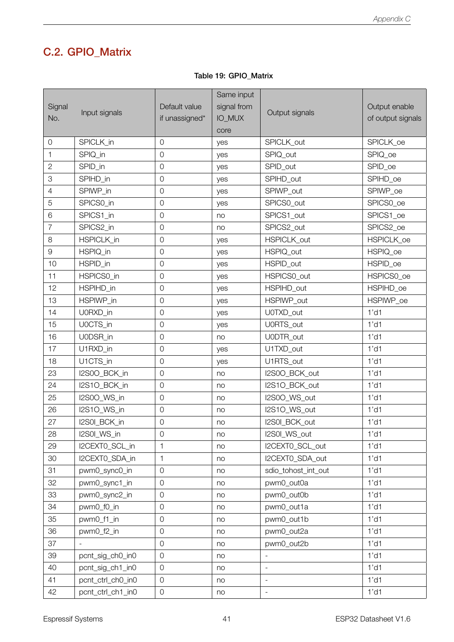# C.2. GPIO\_Matrix

|  |  |  | Table 19: GPIO Matrix |
|--|--|--|-----------------------|
|--|--|--|-----------------------|

<span id="page-48-0"></span>

| Signal         | Input signals     | Default value       | Same input<br>signal from | Output signals      | Output enable     |
|----------------|-------------------|---------------------|---------------------------|---------------------|-------------------|
| No.            |                   | if unassigned*      | IO_MUX                    |                     | of output signals |
|                |                   |                     | core                      |                     |                   |
| $\overline{0}$ | SPICLK in         | $\mathbf 0$         | yes                       | SPICLK out          | SPICLK_oe         |
| 1              | SPIQ_in           | $\mathsf{O}\xspace$ | yes                       | SPIQ_out            | SPIQ_oe           |
| $\overline{2}$ | SPID_in           | $\mathsf O$         | yes                       | SPID_out            | SPID_oe           |
| 3              | SPIHD_in          | $\mathsf O$         | yes                       | SPIHD_out           | SPIHD_oe          |
| $\overline{4}$ | SPIWP_in          | $\mathsf{O}\xspace$ | yes                       | SPIWP_out           | SPIWP_oe          |
| 5              | SPICS0_in         | $\mathbf 0$         | yes                       | SPICS0_out          | SPICS0_oe         |
| 6              | SPICS1_in         | $\mathsf{O}\xspace$ | no                        | SPICS1_out          | SPICS1_oe         |
| $\overline{7}$ | SPICS2_in         | $\mathsf O$         | no                        | SPICS2_out          | SPICS2_oe         |
| 8              | HSPICLK_in        | $\mathsf O$         | yes                       | HSPICLK_out         | HSPICLK_oe        |
| 9              | HSPIQ_in          | $\mathsf{O}\xspace$ | yes                       | HSPIQ_out           | HSPIQ_oe          |
| 10             | HSPID_in          | $\mathsf{O}\xspace$ | yes                       | HSPID out           | HSPID_oe          |
| 11             | HSPICS0_in        | $\mathbf 0$         | yes                       | HSPICS0_out         | HSPICS0 oe        |
| 12             | HSPIHD_in         | $\mathsf O$         | yes                       | HSPIHD_out          | HSPIHD_oe         |
| 13             | HSPIWP_in         | $\mathsf O$         | yes                       | HSPIWP_out          | HSPIWP_oe         |
| 14             | U0RXD_in          | $\mathsf O$         | yes                       | U0TXD_out           | $1'$ d1           |
| 15             | U0CTS_in          | $\mathsf O$         | yes                       | U0RTS_out           | $1'$ d1           |
| 16             | U0DSR_in          | $\mathsf O$         | no                        | U0DTR_out           | 1'd1              |
| 17             | U1RXD_in          | $\mathsf O$         | yes                       | U1TXD_out           | $1'$ d1           |
| 18             | U1CTS_in          | $\mathsf O$         | yes                       | U1RTS_out           | $1'$ d1           |
| 23             | I2S0O_BCK_in      | $\mathsf O$         | no                        | I2S0O_BCK_out       | $1'$ d1           |
| 24             | I2S1O_BCK_in      | $\mathsf O$         | no                        | I2S1O_BCK_out       | $1'$ d1           |
| 25             | I2S0O_WS_in       | $\mathbf 0$         | no                        | I2S0O_WS_out        | $1'$ d1           |
| 26             | I2S1O_WS_in       | $\mathsf{O}\xspace$ | no                        | I2S1O_WS_out        | $1'$ d1           |
| 27             | I2S0I_BCK_in      | $\mathsf O$         | no                        | I2S0I_BCK_out       | $1'$ d1           |
| 28             | I2S0I_WS_in       | $\mathsf O$         | no                        | I2S0I_WS_out        | $1'$ d1           |
| 29             | I2CEXTO_SCL_in    | 1                   | no                        | I2CEXT0_SCL_out     | 1'd1              |
| 30             | I2CEXTO_SDA_in    | $\mathbf{1}$        | no                        | I2CEXT0 SDA out     | $1'$ d1           |
| 31             | pwm0_sync0_in     | $\mathbf 0$         | no                        | sdio_tohost_int_out | $1'$ d1           |
| 32             | pwm0_sync1_in     | $\mathsf O$         | no                        | pwm0_out0a          | $1'$ d1           |
| 33             | pwm0_sync2_in     | $\mathsf O$         | no                        | pwm0_out0b          | $1'$ d1           |
| 34             | pwm0_f0_in        | $\mathsf O$         | no                        | pwm0_out1a          | $1'$ d1           |
| 35             | pwm0_f1_in        | $\mathsf O$         | no                        | pwm0_out1b          | $1'$ d1           |
| 36             | pwm0_f2_in        | $\mathbf 0$         | no                        | pwm0_out2a          | $1'$ d1           |
| 37             | $\sim$            | $\mathsf O$         | no                        | pwm0_out2b          | $1'$ d1           |
| 39             | pcnt_sig_ch0_in0  | $\mathsf O$         | no                        |                     | $1'$ d1           |
| 40             | pcnt_sig_ch1_in0  | $\mathbf 0$         | no                        |                     | $1'$ d1           |
| 41             | pcnt_ctrl_ch0_in0 | $\mathsf O$         | no                        | $\blacksquare$      | $1'$ d1           |
| 42             | pcnt_ctrl_ch1_in0 | $\mathsf O$         | no                        |                     | 1'd1              |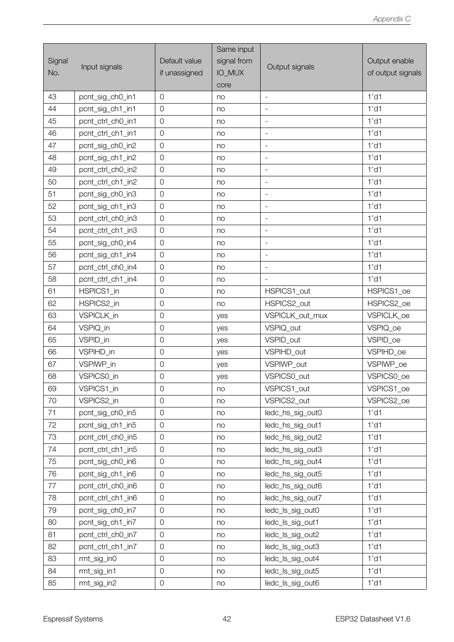|               |                   |                | Same input  |                          |                   |
|---------------|-------------------|----------------|-------------|--------------------------|-------------------|
| Signal<br>No. | Input signals     | Default value  | signal from |                          | Output enable     |
|               |                   | if unassigned  | IO_MUX      | Output signals           | of output signals |
|               |                   |                | core        |                          |                   |
| 43            | pcnt_sig_ch0_in1  | $\overline{0}$ | no          |                          | $1'$ d1           |
| 44            | pcnt_sig_ch1_in1  | $\mathbf 0$    | no          | $\overline{\phantom{a}}$ | $1'$ d1           |
| 45            | pcnt_ctrl_ch0_in1 | $\overline{0}$ | no          | $\overline{\phantom{a}}$ | $1'$ d1           |
| 46            | pcnt_ctrl_ch1_in1 | $\mathbf 0$    | no          |                          | $1'$ d1           |
| 47            | pcnt_sig_ch0_in2  | $\mathbf 0$    | no          | $\overline{\phantom{a}}$ | $1'$ d1           |
| 48            | pcnt_sig_ch1_in2  | $\overline{0}$ | no          | $\overline{\phantom{a}}$ | $1'$ d1           |
| 49            | pcnt_ctrl_ch0_in2 | $\mathsf{O}$   | no          | $\equiv$                 | 1'd1              |
| 50            | pcnt_ctrl_ch1_in2 | $\mathbf 0$    | no          | $\overline{\phantom{a}}$ | 1'd1              |
| 51            | pcnt_sig_ch0_in3  | $\overline{0}$ | no          | $\overline{\phantom{a}}$ | $1'$ d1           |
| 52            | pcnt_sig_ch1_in3  | $\mathbf 0$    | no          | $\equiv$                 | $1'$ d1           |
| 53            | pcnt_ctrl_ch0_in3 | $\overline{0}$ | no          | $\blacksquare$           | $1'$ d1           |
| 54            | pcnt_ctrl_ch1_in3 | $\overline{0}$ | no          |                          | $1'$ d1           |
| 55            | pcnt_sig_ch0_in4  | $\overline{0}$ | no          | $\equiv$                 | 1'd1              |
| 56            | pcnt_sig_ch1_in4  | $\overline{0}$ | no          | $\Box$                   | $1'$ d1           |
| 57            | pcnt_ctrl_ch0_in4 | $\mathbf 0$    | no          |                          | $1'$ d1           |
| 58            | pcnt_ctrl_ch1_in4 | $\mathbf 0$    | no          |                          | $1'$ d1           |
| 61            | HSPICS1_in        | $\overline{0}$ | no          | HSPICS1_out              | HSPICS1_oe        |
| 62            | HSPICS2_in        | $\mathsf{O}$   | no          | HSPICS2_out              | HSPICS2_oe        |
| 63            | VSPICLK_in        | $\mathbf 0$    | yes         | VSPICLK_out_mux          | VSPICLK_oe        |
| 64            | VSPIQ_in          | $\mathbf 0$    | yes         | VSPIQ_out                | VSPIQ_oe          |
| 65            | VSPID_in          | $\mathbf 0$    | yes         | VSPID_out                | VSPID_oe          |
| 66            | VSPIHD_in         | $\mathbf 0$    | yes         | VSPIHD_out               | VSPIHD_oe         |
| 67            | VSPIWP_in         | $\mathbf 0$    | yes         | VSPIWP out               | VSPIWP_oe         |
| 68            | VSPICS0_in        | $\mathbf 0$    | yes         | VSPICS0 out              | VSPICS0_oe        |
| 69            | VSPICS1 in        | $\mathbf 0$    | no          | VSPICS1_out              | VSPICS1_oe        |
| 70            | VSPICS2_in        | $\mathbf 0$    | no          | VSPICS2_out              | VSPICS2_oe        |
| 71            | pcnt_sig_ch0_in5  | $\mathsf{O}$   | no          | ledc_hs_sig_out0         | $1'$ d1           |
| 72            | pcnt_sig_ch1_in5  | $\mathbf 0$    | no          | ledc_hs_sig_out1         | $1'$ d1           |
| 73            | pcnt ctrl ch0 in5 | $\mathbf 0$    | no          | ledc_hs_sig_out2         | $1'$ d1           |
| 74            | pcnt_ctrl_ch1_in5 | $\mathsf{O}$   | no          | ledc_hs_sig_out3         | $1'$ d1           |
| 75            | pcnt_sig_ch0_in6  | $\mathsf{O}$   | no          | ledc_hs_sig_out4         | $1'$ d1           |
| 76            | pcnt_sig_ch1_in6  | $\mathsf{O}$   | no          | ledc_hs_sig_out5         | $1'$ d1           |
| 77            | pcnt_ctrl_ch0_in6 | $\mathsf{O}$   | no          | ledc_hs_sig_out6         | $1'$ d1           |
| 78            | pcnt_ctrl_ch1_in6 | $\mathsf{O}$   | no          | ledc_hs_sig_out7         | $1'$ d1           |
| 79            | pcnt_sig_ch0_in7  | $\mathbf 0$    | no          | ledc_ls_sig_out0         | $1'$ d1           |
| 80            | pcnt_sig_ch1_in7  | $\mathsf{O}$   | no          | ledc_ls_sig_out1         | $1'$ d1           |
| 81            | pcnt_ctrl_ch0_in7 | $\mathsf{O}$   | no          | ledc_ls_sig_out2         | $1'$ d1           |
| 82            | pcnt_ctrl_ch1_in7 | $\mathsf{O}$   | no          | ledc_ls_sig_out3         | $1'$ d1           |
| 83            | rmt_sig_in0       | $\mathsf{O}$   | no          | ledc_ls_sig_out4         | $1'$ d1           |
| 84            | rmt_sig_in1       | $\mathsf{O}$   | no          | ledc_ls_sig_out5         | $1'$ d1           |
| 85            | rmt_sig_in2       | $\mathsf{O}$   | no          | ledc_ls_sig_out6         | $1'$ d1           |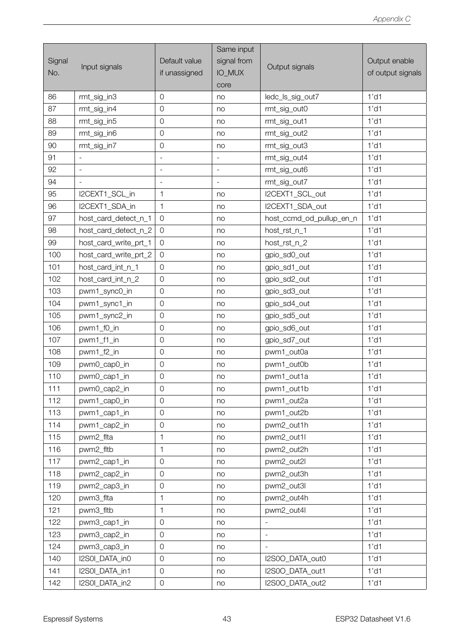|        |                       |                          | Same input               |                              |                   |
|--------|-----------------------|--------------------------|--------------------------|------------------------------|-------------------|
| Signal |                       | Default value            | signal from              |                              | Output enable     |
| No.    | Input signals         | if unassigned            | IO_MUX                   | Output signals               | of output signals |
|        |                       |                          | core                     |                              |                   |
| 86     | rmt_sig_in3           | $\mathsf O$              | no                       | ledc_ls_sig_out7             | $1'$ d1           |
| 87     | rmt_sig_in4           | $\mathsf O$              | no                       | rmt_sig_out0                 | $1'$ d1           |
| 88     | rmt_sig_in5           | $\mathsf{O}\xspace$      | no                       | rmt_sig_out1                 | $1'$ d1           |
| 89     | rmt_sig_in6           | $\mathsf O$              | no                       | rmt_sig_out2                 | $1'$ d1           |
| 90     | rmt_sig_in7           | $\mathbf 0$              | no                       | rmt_sig_out3                 | $1'$ d1           |
| 91     |                       | $\bar{\phantom{a}}$      | $\overline{\phantom{a}}$ | rmt_sig_out4                 | $1'$ d1           |
| 92     | $\equiv$              | $\blacksquare$           | $\Box$                   | rmt_sig_out6                 | $1'$ d1           |
| 94     | $\equiv$              | $\overline{\phantom{a}}$ | $\blacksquare$           | rmt_sig_out7                 | $1'$ d1           |
| 95     | I2CEXT1 SCL in        | 1                        | no                       | I2CEXT1 SCL out              | $1'$ d1           |
| 96     | I2CEXT1 SDA in        | $\mathbf{1}$             | no                       | I2CEXT1_SDA_out              | 1'd1              |
| 97     | host_card_detect_n_1  | $\mathbf 0$              | no                       | host_ccmd_od_pullup_en_n     | $1'$ d1           |
| 98     | host_card_detect_n_2  | $\overline{0}$           | no                       | host_rst_n_1                 | $1'$ d1           |
| 99     | host_card_write_prt_1 | $\overline{0}$           | no                       | host_rst_n_2                 | 1'd1              |
| 100    | host_card_write_prt_2 | $\mathbf 0$              | no                       | gpio_sd0_out                 | $1'$ d1           |
| 101    | host_card_int_n_1     | $\mathbf 0$              | no                       | gpio_sd1_out                 | $1'$ d1           |
| 102    | host_card_int_n_2     | $\mathbf 0$              | no                       | gpio_sd2_out                 | $1'$ d1           |
| 103    | pwm1_sync0_in         | $\mathsf O$              | no                       | gpio_sd3_out                 | $1'$ d1           |
| 104    | pwm1_sync1_in         | $\mathbf 0$              | no                       | gpio_sd4_out                 | $1'$ d1           |
| 105    | pwm1_sync2_in         | $\mathbf 0$              | no                       | gpio_sd5_out                 | 1'd1              |
| 106    | pwm1_f0_in            | $\mathsf O$              | no                       | gpio_sd6_out                 | $1'$ d1           |
| 107    | pwm1_f1_in            | $\mathsf O$              | no                       | gpio_sd7_out                 | $1'$ d1           |
| 108    | pwm1_f2_in            | $\mathsf O$              | no                       | pwm1_out0a                   | $1'$ d1           |
| 109    | pwm0_cap0_in          | $\mathsf O$              | no                       | pwm1_out0b                   | $1'$ d1           |
| 110    | pwm0_cap1_in          | $\mathbf 0$              | no                       | pwm1_out1a                   | 1'd1              |
| 111    | pwm0_cap2_in          | $\mathsf{O}\xspace$      | no                       | pwm1_out1b                   | $1'$ d1           |
| 112    | pwm1_cap0_in          | $\mathsf O$              | no                       | pwm1_out2a                   | $1'$ d1           |
| 113    | pwm1_cap1_in          | $\mathbf 0$              | no                       | pwm1_out2b                   | $1'$ d1           |
| 114    | pwm1_cap2_in          | $\mathsf O$              | no                       | pwm2_out1h                   | $1'$ d1           |
| 115    | pwm2_flta             | 1                        | no                       | pwm2_out1l                   | $1'$ d1           |
| 116    | pwm2_fltb             | $\mathbf{1}$             | no                       | pwm2_out2h                   | $1'$ d1           |
| 117    | pwm2_cap1_in          | $\mathsf O$              | no                       | pwm2_out2l                   | $1'$ d1           |
| 118    | pwm2 cap2 in          | $\mathsf O$              | no                       | pwm2 out3h                   | $1'$ d1           |
| 119    | pwm2_cap3_in          | $\mathsf{O}$             | no                       | pwm2_out3l                   | $1'$ d1           |
| 120    | pwm3_flta             | $\mathbf{1}$             | no                       | pwm2_out4h                   | $1'$ d1           |
| 121    | pwm3_fltb             | 1                        | no                       | pwm2_out4l                   | $1'$ d1           |
| 122    | pwm3_cap1_in          | $\mathsf O$              | no                       |                              | $1'$ d1           |
| 123    | pwm3_cap2_in          | $\mathsf O$              | no                       | $\qquad \qquad \blacksquare$ | $1'$ d1           |
| 124    | pwm3_cap3_in          | $\mathsf O$              | no                       |                              | $1'$ d1           |
| 140    | I2S0I_DATA_in0        | $\mathbf 0$              | no                       | I2S0O_DATA_out0              | $1'$ d1           |
| 141    | I2S0I_DATA_in1        | $\mathbf 0$              | no                       | I2S0O_DATA_out1              | $1'$ d1           |
| 142    | I2S0I_DATA_in2        | $\mathsf{O}$             | no                       | I2S0O_DATA_out2              | $1'$ d1           |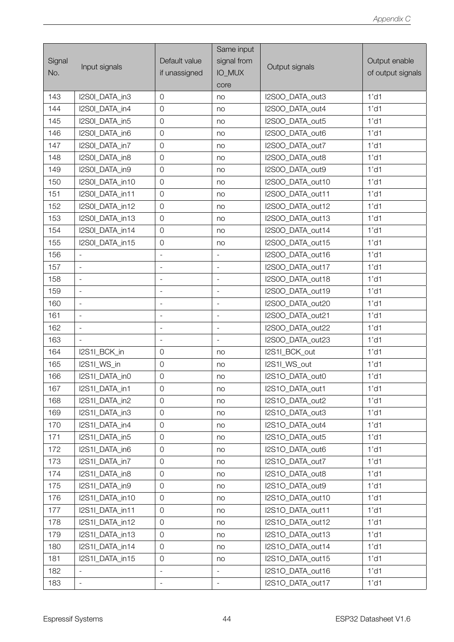|        |                          |                          | Same input                   |                  |                   |
|--------|--------------------------|--------------------------|------------------------------|------------------|-------------------|
| Signal |                          | Default value            | signal from                  |                  | Output enable     |
| No.    | Input signals            | if unassigned            | <b>IO_MUX</b>                | Output signals   | of output signals |
|        |                          |                          | core                         |                  |                   |
| 143    | I2S0I DATA in3           | $\overline{0}$           | no                           | I2S0O DATA out3  | $1'$ d1           |
| 144    | I2S0I_DATA_in4           | $\overline{0}$           | no                           | I2S0O_DATA_out4  | $1'$ d1           |
| 145    | I2S0I DATA in5           | $\mathbf 0$              | no                           | I2S0O_DATA_out5  | $1'$ d1           |
| 146    | I2S0I_DATA_in6           | $\overline{0}$           | no                           | I2S0O DATA out6  | 1'd1              |
| 147    | I2S0I_DATA_in7           | $\overline{0}$           | no                           | I2S0O_DATA_out7  | $1'$ d1           |
| 148    | I2S0I_DATA_in8           | $\mathbf 0$              | no                           | I2S0O_DATA_out8  | $1'$ d1           |
| 149    | I2S0I_DATA_in9           | $\overline{0}$           | no                           | I2S0O_DATA_out9  | 1'd1              |
| 150    | I2S0I_DATA_in10          | $\overline{0}$           | no                           | I2S0O_DATA_out10 | $1'$ d1           |
| 151    | I2S0I_DATA_in11          | $\overline{0}$           | no                           | I2S0O_DATA_out11 | 1'd1              |
| 152    | I2S0I_DATA_in12          | $\overline{0}$           | no                           | I2S0O DATA out12 | 1'd1              |
| 153    | I2S0I_DATA_in13          | $\overline{0}$           | no                           | I2S0O_DATA_out13 | 1'd1              |
| 154    | I2S0I_DATA_in14          | $\overline{0}$           | no                           | I2S0O_DATA_out14 | $1'$ d1           |
| 155    | I2S0I_DATA_in15          | $\mathbf 0$              | no                           | I2S0O_DATA_out15 | $1'$ d1           |
| 156    | $\overline{\phantom{a}}$ | $\overline{\phantom{a}}$ | $\overline{\phantom{a}}$     | I2S0O_DATA_out16 | $1'$ d1           |
| 157    | $\overline{\phantom{a}}$ | $\overline{\phantom{a}}$ | $\overline{\phantom{a}}$     | I2S0O_DATA_out17 | 1'd1              |
| 158    | $\frac{1}{2}$            | $\frac{1}{2}$            |                              | I2S0O_DATA_out18 | 1'd1              |
| 159    | $\overline{\phantom{a}}$ | $\overline{\phantom{a}}$ | $\overline{\phantom{a}}$     | I2S0O_DATA_out19 | $1'$ d1           |
| 160    | $\overline{\phantom{a}}$ |                          | $\overline{a}$               | I2S0O_DATA_out20 | $1'$ d1           |
| 161    | $\overline{\phantom{a}}$ | $\qquad \qquad -$        | $\overline{\phantom{a}}$     | I2S0O_DATA_out21 | 1'd1              |
| 162    | $\overline{\phantom{a}}$ | $\overline{\phantom{a}}$ | $\qquad \qquad \blacksquare$ | I2S0O_DATA_out22 | $1'$ d1           |
| 163    |                          |                          |                              | I2S0O_DATA_out23 | 1'd1              |
| 164    | I2S1I_BCK_in             | $\overline{0}$           | no                           | I2S1I_BCK_out    | $1'$ d1           |
| 165    | I2S1I_WS_in              | $\overline{0}$           | no                           | I2S1I_WS_out     | $1'$ d1           |
| 166    | I2S1I_DATA_in0           | $\overline{0}$           | no                           | I2S1O_DATA_out0  | 1'd1              |
| 167    | I2S1I_DATA_in1           | $\mathbf 0$              | no                           | I2S1O_DATA_out1  | $1'$ d1           |
| 168    | I2S1I_DATA_in2           | 0                        | no                           | I2S1O DATA out2  | $1'$ d1           |
| 169    | I2S1I_DATA_in3           | $\mathsf{O}$             | no                           | I2S1O DATA out3  | $1'$ d1           |
| 170    | I2S1I_DATA_in4           | $\overline{0}$           | no                           | I2S1O_DATA_out4  | $1'$ d1           |
| 171    | I2S1I_DATA_in5           | $\mathbf 0$              | no                           | I2S1O_DATA_out5  | $1'$ d1           |
| 172    | I2S1I_DATA_in6           | $\mathsf{O}$             | no                           | I2S1O_DATA_out6  | 1'd1              |
| 173    | I2S1I_DATA_in7           | $\overline{0}$           | no                           | I2S1O_DATA_out7  | $1'$ d1           |
| 174    | I2S1I DATA in8           | $\mathbf 0$              | no                           | I2S1O_DATA_out8  | $1'$ d1           |
| 175    | I2S1I_DATA_in9           | $\overline{O}$           | no                           | I2S1O_DATA_out9  | 1'd1              |
| 176    | I2S1I_DATA_in10          | $\overline{0}$           | no                           | I2S1O_DATA_out10 | $1'$ d1           |
| 177    | I2S1I_DATA_in11          | $\overline{0}$           | no                           | I2S1O_DATA_out11 | $1'$ d1           |
| 178    | I2S1I_DATA_in12          | $\overline{O}$           | no                           | I2S1O_DATA_out12 | 1'd1              |
| 179    | I2S1I_DATA_in13          | $\mathbf 0$              | no                           | I2S1O_DATA_out13 | $1'$ d1           |
| 180    | I2S1I_DATA_in14          | $\overline{0}$           | no                           | I2S1O_DATA_out14 | $1'$ d1           |
| 181    | I2S1I_DATA_in15          | $\mathsf{O}$             | no                           | I2S1O_DATA_out15 | $1'$ d1           |
| 182    |                          | $\frac{1}{2}$            | $\qquad \qquad -$            | I2S1O_DATA_out16 | $1'$ d1           |
| 183    | ÷,                       | $\bar{a}$                | $\frac{1}{2}$                | I2S1O_DATA_out17 | $1'$ d1           |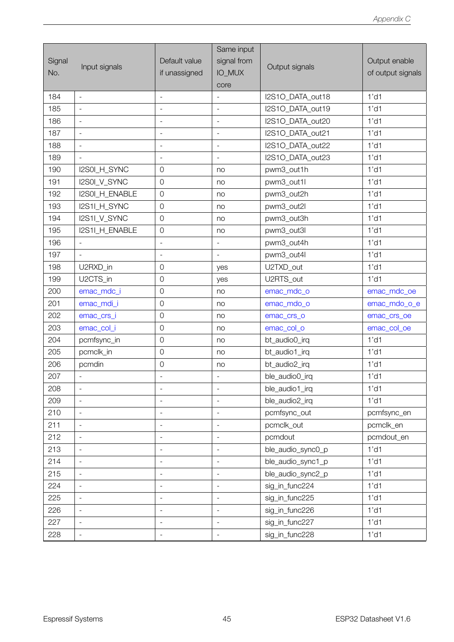|               | Input signals            |                              | Same input                   |                   |                   |
|---------------|--------------------------|------------------------------|------------------------------|-------------------|-------------------|
| Signal<br>No. |                          | Default value                | signal from                  |                   | Output enable     |
|               |                          | if unassigned                | <b>IO_MUX</b>                | Output signals    | of output signals |
|               |                          |                              | core                         |                   |                   |
| 184           | $\overline{\phantom{a}}$ | $\overline{\phantom{a}}$     | $\overline{\phantom{a}}$     | I2S1O DATA out18  | $1'$ d1           |
| 185           | $\overline{a}$           | $\bar{a}$                    | $\equiv$                     | I2S1O_DATA_out19  | $1'$ d1           |
| 186           | $\overline{\phantom{a}}$ | $\overline{\phantom{a}}$     | $\blacksquare$               | I2S1O DATA out20  | $1'$ d1           |
| 187           | $\overline{\phantom{a}}$ | $\overline{\phantom{a}}$     | $\overline{\phantom{a}}$     | I2S1O DATA out21  | $1'$ d1           |
| 188           | $\frac{1}{2}$            | $\qquad \qquad -$            | $\frac{1}{2}$                | I2S1O_DATA_out22  | $1'$ d1           |
| 189           | $\overline{\phantom{a}}$ | $\blacksquare$               | $\frac{1}{2}$                | I2S1O_DATA_out23  | 1'd1              |
| 190           | I2S0I_H_SYNC             | $\overline{0}$               | no                           | pwm3_out1h        | $1'$ d1           |
| 191           | I2S0I_V_SYNC             | $\overline{0}$               | no                           | pwm3_out1l        | $1'$ d1           |
| 192           | I2S0I_H_ENABLE           | $\mathbf 0$                  | no                           | pwm3_out2h        | 1'd1              |
| 193           | I2S1I_H_SYNC             | $\overline{0}$               | no                           | pwm3_out2l        | 1'd1              |
| 194           | I2S1I_V_SYNC             | $\overline{0}$               | no                           | pwm3_out3h        | $1'$ d1           |
| 195           | I2S1I_H_ENABLE           | $\mathsf O$                  | no                           | pwm3_out3l        | $1'$ d1           |
| 196           | $\overline{\phantom{a}}$ | $\overline{\phantom{a}}$     | $\frac{1}{2}$                | pwm3_out4h        | 1'd1              |
| 197           | $\overline{\phantom{a}}$ | $\overline{\phantom{a}}$     | $\overline{\phantom{a}}$     | pwm3_out4l        | $1'$ d1           |
| 198           | U2RXD_in                 | $\mathbf 0$                  | yes                          | U2TXD_out         | $1'$ d1           |
| 199           | U2CTS_in                 | $\mathbf 0$                  | yes                          | U2RTS_out         | 1'd1              |
| 200           | emac_mdc_i               | $\overline{0}$               | no                           | emac_mdc_o        | emac_mdc_oe       |
| 201           | emac_mdi_i               | $\overline{0}$               | no                           | emac_mdo_o        | emac_mdo_o_e      |
| 202           | emac_crs_i               | $\mathbf 0$                  | no                           | emac_crs_o        | emac_crs_oe       |
| 203           | emac_col_i               | $\overline{0}$               | no                           | emac_col_o        | emac_col_oe       |
| 204           | pcmfsync_in              | $\overline{0}$               | no                           | bt_audio0_irq     | 1'd1              |
| 205           | pcmclk_in                | $\mathbf 0$                  | no                           | bt_audio1_irq     | $1'$ d1           |
| 206           | pcmdin                   | $\mathbf 0$                  | no                           | bt_audio2_irq     | 1'd1              |
| 207           |                          |                              |                              | ble_audio0_irq    | 1'd1              |
| 208           |                          | $\overline{a}$               | $\overline{a}$               | ble_audio1_irq    | $1'$ d1           |
| 209           | $\frac{1}{2}$            | $\qquad \qquad -$            | $\overline{\phantom{a}}$     | ble_audio2_irq    | $1'$ d1           |
| 210           |                          |                              | $\frac{1}{2}$                | pcmfsync_out      | pcmfsync_en       |
| 211           | $\overline{a}$           | $\frac{1}{2}$                | $\overline{\phantom{a}}$     | pcmclk_out        | pcmclk_en         |
| 212           | $\frac{1}{2}$            | $\qquad \qquad \blacksquare$ | $\qquad \qquad \blacksquare$ | pcmdout           | pcmdout_en        |
| 213           | $\overline{\phantom{a}}$ | $\qquad \qquad -$            | $\overline{\phantom{a}}$     | ble_audio_sync0_p | 1'd1              |
| 214           | $\overline{a}$           | $\frac{1}{2}$                | $\overline{\phantom{a}}$     | ble_audio_sync1_p | $1'$ d1           |
| 215           | $\blacksquare$           | $\overline{\phantom{m}}$     | $\overline{\phantom{m}}$     | ble_audio_sync2_p | $1'$ d1           |
| 224           | $\overline{\phantom{a}}$ | $\qquad \qquad -$            | $\overline{\phantom{a}}$     | sig_in_func224    | 1'd1              |
| 225           | $\overline{a}$           | $\frac{1}{2}$                | $\overline{\phantom{a}}$     | sig_in_func225    | $1'$ d1           |
| 226           | $\frac{1}{2}$            | $\qquad \qquad -$            | $\overline{\phantom{a}}$     | sig_in_func226    | $1'$ d1           |
| 227           | $\overline{\phantom{0}}$ | $\qquad \qquad \blacksquare$ | $\overline{\phantom{m}}$     | sig_in_func227    | $1'$ d1           |
| 228           | $\frac{1}{2}$            | $\frac{1}{2}$                | $\frac{1}{2}$                | sig_in_func228    | $1'$ d1           |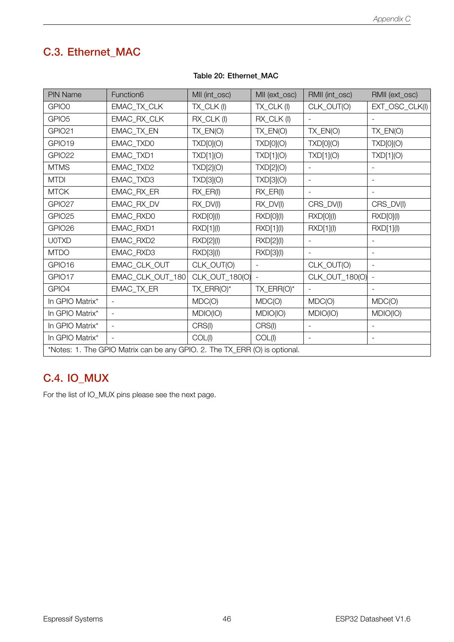# C.3. Ethernet\_MAC

<span id="page-53-0"></span>

| <b>PIN Name</b>                                                            | Function6        | MII (int_osc)  | MII (ext_osc) | RMII (int_osc)           | RMII (ext_osc)           |  |  |  |
|----------------------------------------------------------------------------|------------------|----------------|---------------|--------------------------|--------------------------|--|--|--|
| GPIO0                                                                      | EMAC_TX_CLK      | TX_CLK(I)      | TX_CLK(I)     | CLK_OUT(O)               | EXT_OSC_CLK(I)           |  |  |  |
| GPIO <sub>5</sub>                                                          | EMAC_RX_CLK      | RX_CLK(I)      | RX_CLK(I)     |                          |                          |  |  |  |
| GPIO21                                                                     | EMAC_TX_EN       | TX_EN(O)       | $TX$ $EN(O)$  | TX_EN(O)                 | TX_EN(O)                 |  |  |  |
| GPIO19                                                                     | EMAC_TXD0        | TXD[0](O)      | TXD[0](O)     | TXD[0](O)                | TXD[0](O)                |  |  |  |
| GPIO22                                                                     | EMAC_TXD1        | TXD[1](O)      | TXD[1](O)     | TXD[1](O)                | TXD[1](O)                |  |  |  |
| <b>MTMS</b>                                                                | EMAC_TXD2        | TXD[2](O)      | TXD[2](O)     |                          |                          |  |  |  |
| <b>MTDI</b>                                                                | EMAC_TXD3        | TXD[3](O)      | TXD[3](O)     | $\overline{\phantom{a}}$ |                          |  |  |  |
| <b>MTCK</b>                                                                | EMAC_RX_ER       | $RX$ $ER(1)$   | $RX$ $ER(1)$  | $\blacksquare$           |                          |  |  |  |
| GPIO27                                                                     | EMAC_RX_DV       | RX_DV(I)       | $RX_DV(I)$    | CRS_DV(I)                | CRS_DV(I)                |  |  |  |
| GPIO25                                                                     | EMAC_RXD0        | RXD[0](l)      | RXD[0](l)     | RXD[0](l)                | RXD[0](l)                |  |  |  |
| GPIO26                                                                     | EMAC_RXD1        | RXD[1](l)      | RXD[1](l)     | RXD[1](I)                | RXD[1](l)                |  |  |  |
| <b>U0TXD</b>                                                               | EMAC_RXD2        | RXD[2](l)      | RXD[2](l)     |                          |                          |  |  |  |
| <b>MTDO</b>                                                                | EMAC_RXD3        | RXD[3](l)      | RXD[3](l)     | $\overline{\phantom{a}}$ |                          |  |  |  |
| GPIO16                                                                     | EMAC_CLK_OUT     | CLK_OUT(O)     |               | CLK_OUT(O)               |                          |  |  |  |
| GPIO17                                                                     | EMAC_CLK_OUT_180 | CLK_OUT_180(O) |               | CLK_OUT_180(O)           |                          |  |  |  |
| GPIO4                                                                      | EMAC_TX_ER       | TX_ERR(O)*     | TX_ERR(O)*    | $\equiv$                 |                          |  |  |  |
| In GPIO Matrix*                                                            |                  | MDC(O)         | MDC(O)        | MDC(O)                   | MDC(O)                   |  |  |  |
| In GPIO Matrix*                                                            |                  | MDIO(IO)       | MDIO(IO)      | MDIO(IO)                 | MDIO(IO)                 |  |  |  |
| In GPIO Matrix*                                                            |                  | CRS(I)         | CRS(I)        |                          |                          |  |  |  |
| In GPIO Matrix*                                                            |                  | COL(I)         | COL(I)        | $\overline{\phantom{a}}$ | $\overline{\phantom{0}}$ |  |  |  |
| *Notes: 1. The GPIO Matrix can be any GPIO. 2. The TX_ERR (O) is optional. |                  |                |               |                          |                          |  |  |  |

#### Table 20: Ethernet\_MAC

## C.4. IO\_MUX

For the list of IO\_MUX pins please see the next page.